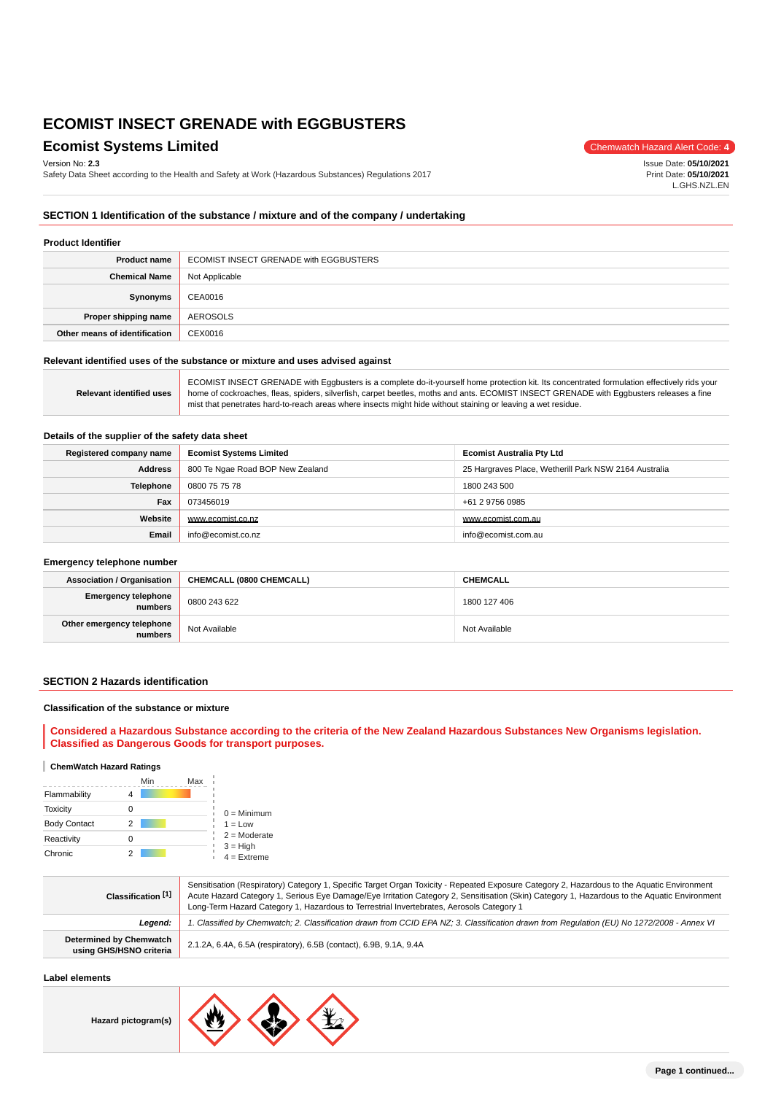## **Ecomist Systems Limited** Chemwatch Hazard Alert Code: 4

Version No: **2.3**

Safety Data Sheet according to the Health and Safety at Work (Hazardous Substances) Regulations 2017

Issue Date: **05/10/2021** Print Date: **05/10/2021** L.GHS.NZL.EN

## **SECTION 1 Identification of the substance / mixture and of the company / undertaking**

#### **Product Identifier**

| <b>Product name</b>           | ECOMIST INSECT GRENADE with EGGBUSTERS |  |
|-------------------------------|----------------------------------------|--|
| <b>Chemical Name</b>          | Not Applicable                         |  |
| Synonyms                      | CEA0016                                |  |
| Proper shipping name          | AEROSOLS                               |  |
| Other means of identification | CEX0016                                |  |

### **Relevant identified uses of the substance or mixture and uses advised against**

Ĥ

|                                 | ECOMIST INSECT GRENADE with Eggbusters is a complete do-it-yourself home protection kit. Its concentrated formulation effectively rids your |
|---------------------------------|---------------------------------------------------------------------------------------------------------------------------------------------|
| <b>Relevant identified uses</b> | home of cockroaches, fleas, spiders, silverfish, carpet beetles, moths and ants. ECOMIST INSECT GRENADE with Eqgbusters releases a fine     |
|                                 | mist that penetrates hard-to-reach areas where insects might hide without staining or leaving a wet residue.                                |
|                                 |                                                                                                                                             |

### **Details of the supplier of the safety data sheet**

| Registered company name | <b>Ecomist Systems Limited</b>                                                            | <b>Ecomist Australia Pty Ltd</b> |  |
|-------------------------|-------------------------------------------------------------------------------------------|----------------------------------|--|
| <b>Address</b>          | 800 Te Ngae Road BOP New Zealand<br>25 Hargraves Place, Wetherill Park NSW 2164 Australia |                                  |  |
| <b>Telephone</b>        | 0800 75 75 78                                                                             | 1800 243 500                     |  |
| Fax                     | 073456019<br>+61 2 9756 0985                                                              |                                  |  |
| Website                 | www.ecomist.co.nz                                                                         | www.ecomist.com.au               |  |
| Email                   | info@ecomist.co.nz                                                                        | info@ecomist.com.au              |  |

### **Emergency telephone number**

| <b>Association / Organisation</b>    | CHEMCALL (0800 CHEMCALL) | <b>CHEMCALL</b> |
|--------------------------------------|--------------------------|-----------------|
| Emergency telephone<br>numbers       | 0800 243 622             | 1800 127 406    |
| Other emergency telephone<br>numbers | Not Available            | Not Available   |

### **SECTION 2 Hazards identification**

#### **Classification of the substance or mixture**

## **Considered a Hazardous Substance according to the criteria of the New Zealand Hazardous Substances New Organisms legislation. Classified as Dangerous Goods for transport purposes.**

### **ChemWatch Hazard Ratings**

|                     | Min | Max |                                               |
|---------------------|-----|-----|-----------------------------------------------|
| Flammability        |     |     |                                               |
| <b>Toxicity</b>     |     |     | $0 =$ Minimum                                 |
| <b>Body Contact</b> | 2   |     | $1 = Low$                                     |
| Reactivity          |     |     | $2 =$ Moderate<br>$3 = High$<br>$4 =$ Extreme |
| Chronic             |     |     |                                               |

| Classification [1]                                        | Sensitisation (Respiratory) Category 1, Specific Target Organ Toxicity - Repeated Exposure Category 2, Hazardous to the Aquatic Environment<br>Acute Hazard Category 1, Serious Eye Damage/Eye Irritation Category 2, Sensitisation (Skin) Category 1, Hazardous to the Aquatic Environment<br>Long-Term Hazard Category 1, Hazardous to Terrestrial Invertebrates, Aerosols Category 1 |  |
|-----------------------------------------------------------|-----------------------------------------------------------------------------------------------------------------------------------------------------------------------------------------------------------------------------------------------------------------------------------------------------------------------------------------------------------------------------------------|--|
| Leaend:                                                   | 1. Classified by Chemwatch; 2. Classification drawn from CCID EPA NZ; 3. Classification drawn from Requlation (EU) No 1272/2008 - Annex VI                                                                                                                                                                                                                                              |  |
| <b>Determined by Chemwatch</b><br>using GHS/HSNO criteria | 2.1.2A, 6.4A, 6.5A (respiratory), 6.5B (contact), 6.9B, 9.1A, 9.4A                                                                                                                                                                                                                                                                                                                      |  |

## **Label elements**

**Hazard pictogram(s)**

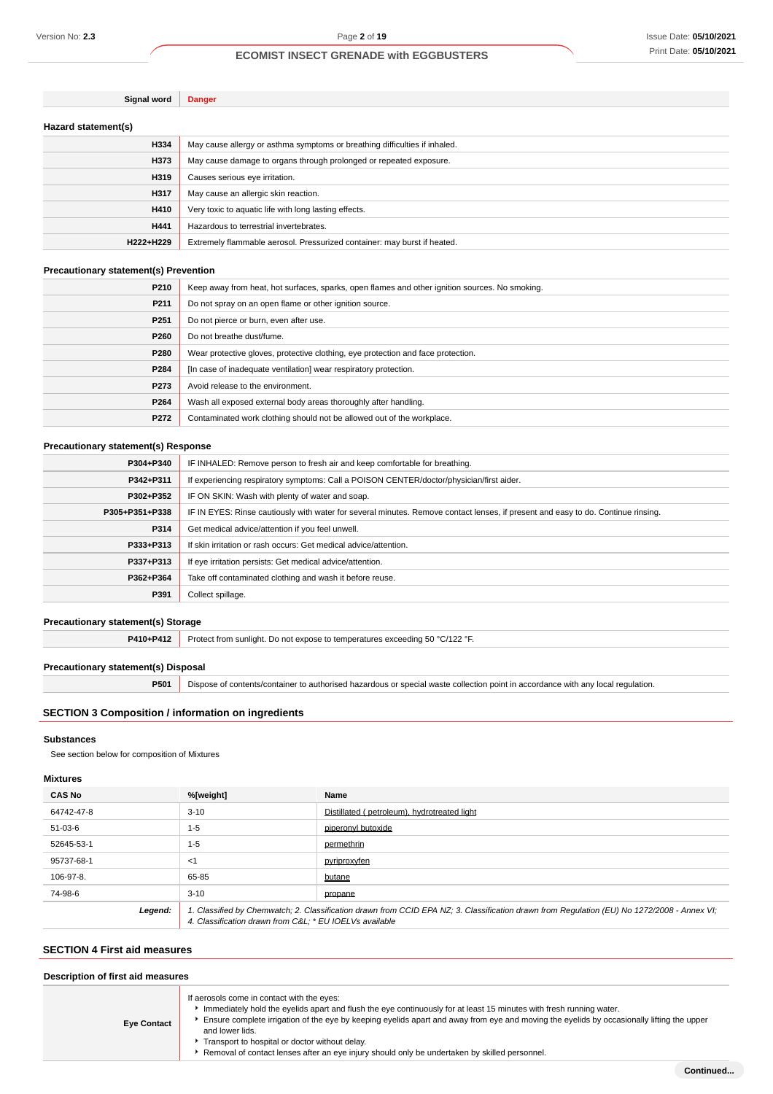| Signal word         | Danger                                                                     |  |
|---------------------|----------------------------------------------------------------------------|--|
| Hazard statement(s) |                                                                            |  |
| H334                | May cause allergy or asthma symptoms or breathing difficulties if inhaled. |  |
| H373                | May cause damage to organs through prolonged or repeated exposure.         |  |
| H319                | Causes serious eye irritation.                                             |  |
| H317                | May cause an allergic skin reaction.                                       |  |
| H410                | Very toxic to aquatic life with long lasting effects.                      |  |
| H441                | Hazardous to terrestrial invertebrates.                                    |  |
| H222+H229           | Extremely flammable aerosol. Pressurized container: may burst if heated.   |  |

### **Precautionary statement(s) Prevention**

| P210             | Keep away from heat, hot surfaces, sparks, open flames and other ignition sources. No smoking. |
|------------------|------------------------------------------------------------------------------------------------|
| P211             | Do not spray on an open flame or other ignition source.                                        |
| P <sub>251</sub> | Do not pierce or burn, even after use.                                                         |
| P260             | Do not breathe dust/fume.                                                                      |
| P280             | Wear protective gloves, protective clothing, eye protection and face protection.               |
| P284             | [In case of inadequate ventilation] wear respiratory protection.                               |
| P273             | Avoid release to the environment.                                                              |
| P264             | Wash all exposed external body areas thoroughly after handling.                                |
| P272             | Contaminated work clothing should not be allowed out of the workplace.                         |
|                  |                                                                                                |

## **Precautionary statement(s) Response**

| P304+P340      | IF INHALED: Remove person to fresh air and keep comfortable for breathing.                                                       |  |
|----------------|----------------------------------------------------------------------------------------------------------------------------------|--|
| P342+P311      | If experiencing respiratory symptoms: Call a POISON CENTER/doctor/physician/first aider.                                         |  |
| P302+P352      | IF ON SKIN: Wash with plenty of water and soap.                                                                                  |  |
| P305+P351+P338 | IF IN EYES: Rinse cautiously with water for several minutes. Remove contact lenses, if present and easy to do. Continue rinsing. |  |
| P314           | Get medical advice/attention if you feel unwell.                                                                                 |  |
| P333+P313      | If skin irritation or rash occurs: Get medical advice/attention.                                                                 |  |
| P337+P313      | If eye irritation persists: Get medical advice/attention.                                                                        |  |
| P362+P364      | Take off contaminated clothing and wash it before reuse.                                                                         |  |
| P391           | Collect spillage.                                                                                                                |  |

## **Precautionary statement(s) Storage**

**P410+P412** Protect from sunlight. Do not expose to temperatures exceeding 50 °C/122 °F.

## **Precautionary statement(s) Disposal**

**P501** Dispose of contents/container to authorised hazardous or special waste collection point in accordance with any local regulation.

## **SECTION 3 Composition / information on ingredients**

#### **Substances**

See section below for composition of Mixtures

### **Mixtures**

| <b>CAS No</b> | %[weight]                                              | Name                                                                                                                                        |
|---------------|--------------------------------------------------------|---------------------------------------------------------------------------------------------------------------------------------------------|
| 64742-47-8    | $3 - 10$                                               | Distillated (petroleum), hydrotreated light                                                                                                 |
| 51-03-6       | $1 - 5$                                                | piperonyl butoxide                                                                                                                          |
| 52645-53-1    | $1 - 5$                                                | permethrin                                                                                                                                  |
| 95737-68-1    | $<$ 1                                                  | pyriproxyfen                                                                                                                                |
| 106-97-8.     | 65-85                                                  | butane                                                                                                                                      |
| 74-98-6       | $3 - 10$                                               | propane                                                                                                                                     |
| Legend:       | 4. Classification drawn from C&L * EU IOELVs available | 1. Classified by Chemwatch; 2. Classification drawn from CCID EPA NZ; 3. Classification drawn from Regulation (EU) No 1272/2008 - Annex VI; |

## **SECTION 4 First aid measures**

| Description of first aid measures |                                                                                                                                                                                                                                                                                                                                                                                                                                                                                      |  |
|-----------------------------------|--------------------------------------------------------------------------------------------------------------------------------------------------------------------------------------------------------------------------------------------------------------------------------------------------------------------------------------------------------------------------------------------------------------------------------------------------------------------------------------|--|
| <b>Eye Contact</b>                | If aerosols come in contact with the eyes:<br>Immediately hold the eyelids apart and flush the eye continuously for at least 15 minutes with fresh running water.<br>Ensure complete irrigation of the eye by keeping eyelids apart and away from eye and moving the eyelids by occasionally lifting the upper<br>and lower lids.<br>Transport to hospital or doctor without delay.<br>Removal of contact lenses after an eye injury should only be undertaken by skilled personnel. |  |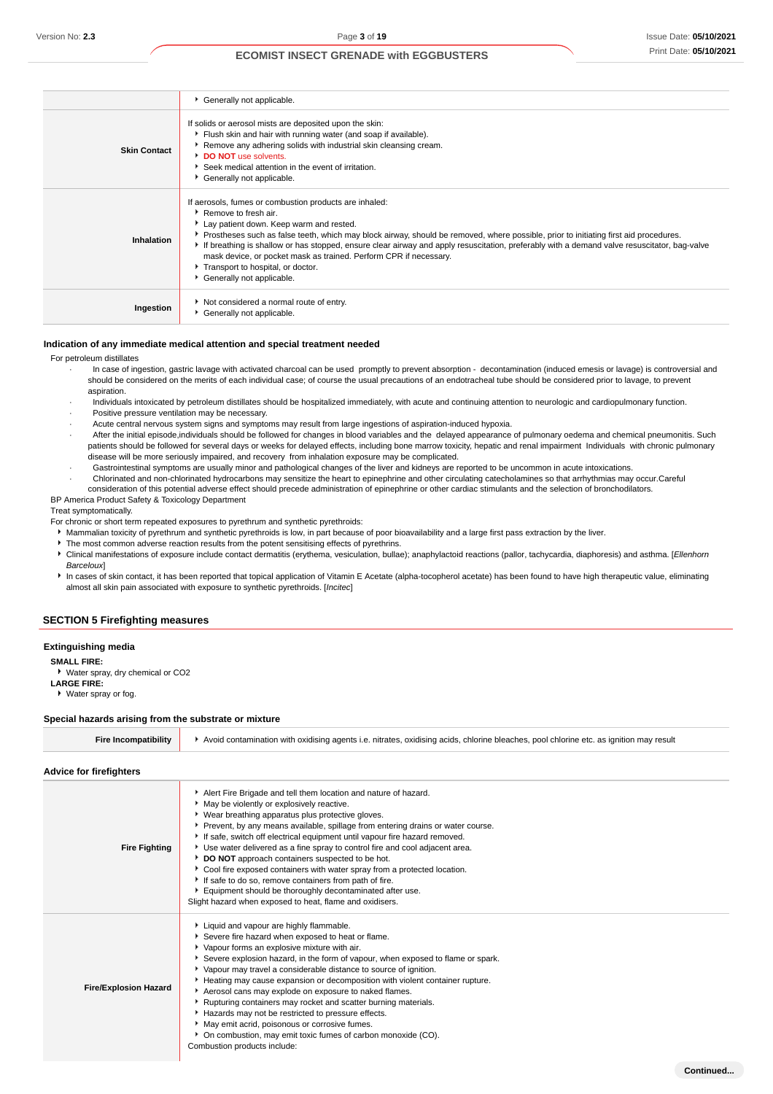**Continued...**

## **ECOMIST INSECT GRENADE with EGGBUSTERS**

|                     | Generally not applicable.                                                                                                                                                                                                                                                                                                                                                                                                                                                                                                                                 |
|---------------------|-----------------------------------------------------------------------------------------------------------------------------------------------------------------------------------------------------------------------------------------------------------------------------------------------------------------------------------------------------------------------------------------------------------------------------------------------------------------------------------------------------------------------------------------------------------|
| <b>Skin Contact</b> | If solids or aerosol mists are deposited upon the skin:<br>Flush skin and hair with running water (and soap if available).<br>▶ Remove any adhering solids with industrial skin cleansing cream.<br>DO NOT use solvents.<br>Seek medical attention in the event of irritation.<br>Generally not applicable.                                                                                                                                                                                                                                               |
| Inhalation          | If aerosols, fumes or combustion products are inhaled:<br>▶ Remove to fresh air.<br>Lay patient down. Keep warm and rested.<br>Prostheses such as false teeth, which may block airway, should be removed, where possible, prior to initiating first aid procedures.<br>If breathing is shallow or has stopped, ensure clear airway and apply resuscitation, preferably with a demand valve resuscitator, bag-valve<br>mask device, or pocket mask as trained. Perform CPR if necessary.<br>Transport to hospital, or doctor.<br>Generally not applicable. |
| Ingestion           | Not considered a normal route of entry.<br>Generally not applicable.                                                                                                                                                                                                                                                                                                                                                                                                                                                                                      |

#### **Indication of any immediate medical attention and special treatment needed**

For petroleum distillates

- · In case of ingestion, gastric lavage with activated charcoal can be used promptly to prevent absorption decontamination (induced emesis or lavage) is controversial and should be considered on the merits of each individual case; of course the usual precautions of an endotracheal tube should be considered prior to lavage, to prevent aspiration.
- · Individuals intoxicated by petroleum distillates should be hospitalized immediately, with acute and continuing attention to neurologic and cardiopulmonary function.
- Positive pressure ventilation may be necessary.
- · Acute central nervous system signs and symptoms may result from large ingestions of aspiration-induced hypoxia.
- · After the initial episode,individuals should be followed for changes in blood variables and the delayed appearance of pulmonary oedema and chemical pneumonitis. Such patients should be followed for several days or weeks for delayed effects, including bone marrow toxicity, hepatic and renal impairment Individuals with chronic pulmonary disease will be more seriously impaired, and recovery from inhalation exposure may be complicated.
	- · Gastrointestinal symptoms are usually minor and pathological changes of the liver and kidneys are reported to be uncommon in acute intoxications.
- · Chlorinated and non-chlorinated hydrocarbons may sensitize the heart to epinephrine and other circulating catecholamines so that arrhythmias may occur.Careful consideration of this potential adverse effect should precede administration of epinephrine or other cardiac stimulants and the selection of bronchodilators. BP America Product Safety & Toxicology Department

Treat symptomatically.

- 
- For chronic or short term repeated exposures to pyrethrum and synthetic pyrethroids:
	- Mammalian toxicity of pyrethrum and synthetic pyrethroids is low, in part because of poor bioavailability and a large first pass extraction by the liver.
- The most common adverse reaction results from the potent sensitising effects of pyrethrins. Clinical manifestations of exposure include contact dermatitis (erythema, vesiculation, bullae); anaphylactoid reactions (pallor, tachycardia, diaphoresis) and asthma. [Ellenhorn **Barcelouxl**
- In cases of skin contact, it has been reported that topical application of Vitamin E Acetate (alpha-tocopherol acetate) has been found to have high therapeutic value, eliminating almost all skin pain associated with exposure to synthetic pyrethroids. [Incitec]

### **SECTION 5 Firefighting measures**

**Extinguishing media**

### **SMALL FIRE:**

Water spray, dry chemical or CO2

**LARGE FIRE:**

Water spray or fog.

### **Special hazards arising from the substrate or mixture**

| <br>üre | oxidising acids.<br>nitrates<br>, chlorine bleaches, pool chlorine etc. as ignition may result<br>Avoir<br>⊧contamination with<br>oxidising agents i.e. |
|---------|---------------------------------------------------------------------------------------------------------------------------------------------------------|
|         |                                                                                                                                                         |

### **Advice for firefighters**

| <b>Fire Fighting</b>         | Alert Fire Brigade and tell them location and nature of hazard.<br>May be violently or explosively reactive.<br>▶ Wear breathing apparatus plus protective gloves.<br>▶ Prevent, by any means available, spillage from entering drains or water course.<br>If safe, switch off electrical equipment until vapour fire hazard removed.<br>Use water delivered as a fine spray to control fire and cool adjacent area.<br>DO NOT approach containers suspected to be hot.<br>Cool fire exposed containers with water spray from a protected location.<br>If safe to do so, remove containers from path of fire.<br>Equipment should be thoroughly decontaminated after use.<br>Slight hazard when exposed to heat, flame and oxidisers. |
|------------------------------|---------------------------------------------------------------------------------------------------------------------------------------------------------------------------------------------------------------------------------------------------------------------------------------------------------------------------------------------------------------------------------------------------------------------------------------------------------------------------------------------------------------------------------------------------------------------------------------------------------------------------------------------------------------------------------------------------------------------------------------|
| <b>Fire/Explosion Hazard</b> | Liquid and vapour are highly flammable.<br>Severe fire hazard when exposed to heat or flame.<br>• Vapour forms an explosive mixture with air.<br>Severe explosion hazard, in the form of vapour, when exposed to flame or spark.<br>▶ Vapour may travel a considerable distance to source of ignition.<br>Heating may cause expansion or decomposition with violent container rupture.<br>Aerosol cans may explode on exposure to naked flames.<br>Rupturing containers may rocket and scatter burning materials.<br>Hazards may not be restricted to pressure effects.<br>May emit acrid, poisonous or corrosive fumes.<br>• On combustion, may emit toxic fumes of carbon monoxide (CO).<br>Combustion products include:            |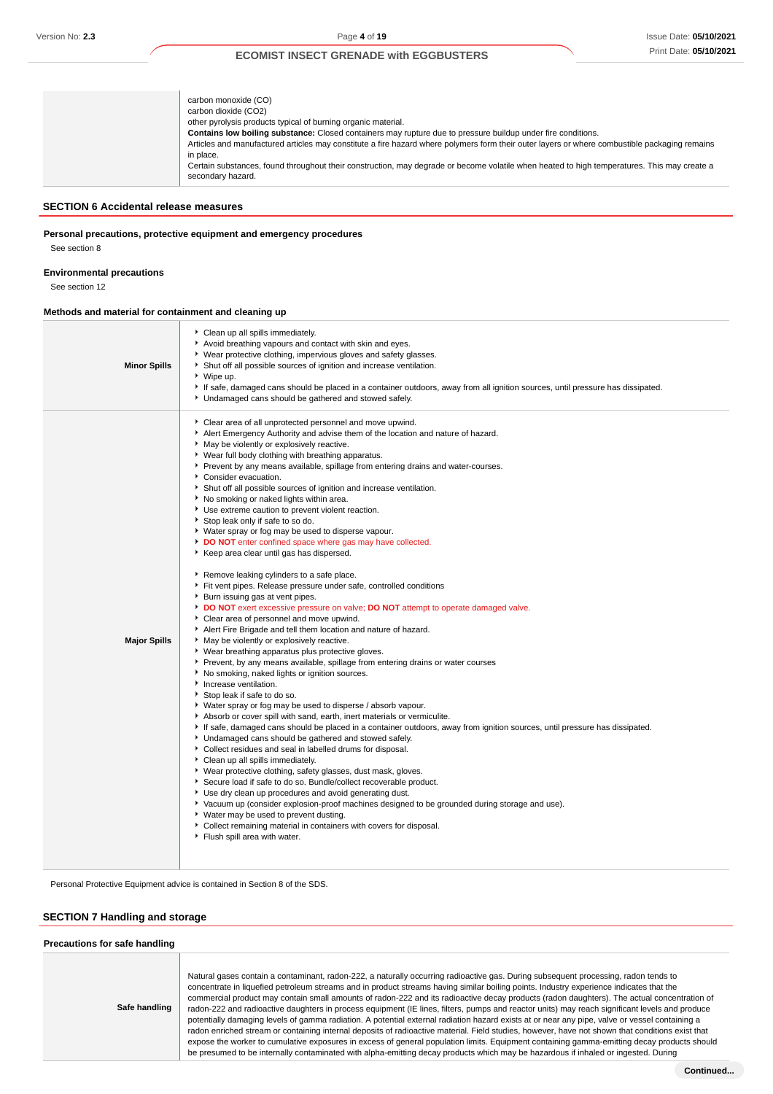| carbon monoxide (CO)<br>carbon dioxide (CO2)<br>other pyrolysis products typical of burning organic material.<br>Contains low boiling substance: Closed containers may rupture due to pressure buildup under fire conditions.<br>Articles and manufactured articles may constitute a fire hazard where polymers form their outer layers or where combustible packaging remains<br>in place.<br>Certain substances, found throughout their construction, may degrade or become volatile when heated to high temperatures. This may create a<br>secondary hazard. |
|-----------------------------------------------------------------------------------------------------------------------------------------------------------------------------------------------------------------------------------------------------------------------------------------------------------------------------------------------------------------------------------------------------------------------------------------------------------------------------------------------------------------------------------------------------------------|
|-----------------------------------------------------------------------------------------------------------------------------------------------------------------------------------------------------------------------------------------------------------------------------------------------------------------------------------------------------------------------------------------------------------------------------------------------------------------------------------------------------------------------------------------------------------------|

### **SECTION 6 Accidental release measures**

**Personal precautions, protective equipment and emergency procedures**

See section 8

### **Environmental precautions**

See section 12

### **Methods and material for containment and cleaning up**

| <b>Minor Spills</b> | Clean up all spills immediately.<br>Avoid breathing vapours and contact with skin and eyes.<br>▶ Wear protective clothing, impervious gloves and safety glasses.<br>Shut off all possible sources of ignition and increase ventilation.<br>▶ Wipe up.<br>If safe, damaged cans should be placed in a container outdoors, away from all ignition sources, until pressure has dissipated.<br>Undamaged cans should be gathered and stowed safely.                                                                                                                                                                                                                                                                                                                                                                                                                                                                                                                                                                                                                                                                                                                                                                                                                                                                                                                                                                                                                                                                                                                                                                                                                                                                                                                                                                                                                                                                                                                                                                                                                                                                                                                                                                                                                                                  |
|---------------------|--------------------------------------------------------------------------------------------------------------------------------------------------------------------------------------------------------------------------------------------------------------------------------------------------------------------------------------------------------------------------------------------------------------------------------------------------------------------------------------------------------------------------------------------------------------------------------------------------------------------------------------------------------------------------------------------------------------------------------------------------------------------------------------------------------------------------------------------------------------------------------------------------------------------------------------------------------------------------------------------------------------------------------------------------------------------------------------------------------------------------------------------------------------------------------------------------------------------------------------------------------------------------------------------------------------------------------------------------------------------------------------------------------------------------------------------------------------------------------------------------------------------------------------------------------------------------------------------------------------------------------------------------------------------------------------------------------------------------------------------------------------------------------------------------------------------------------------------------------------------------------------------------------------------------------------------------------------------------------------------------------------------------------------------------------------------------------------------------------------------------------------------------------------------------------------------------------------------------------------------------------------------------------------------------|
| <b>Major Spills</b> | Clear area of all unprotected personnel and move upwind.<br>Alert Emergency Authority and advise them of the location and nature of hazard.<br>• May be violently or explosively reactive.<br>• Wear full body clothing with breathing apparatus.<br>• Prevent by any means available, spillage from entering drains and water-courses.<br>Consider evacuation.<br>Shut off all possible sources of ignition and increase ventilation.<br>No smoking or naked lights within area.<br>Use extreme caution to prevent violent reaction.<br>Stop leak only if safe to so do.<br>▶ Water spray or fog may be used to disperse vapour.<br>DO NOT enter confined space where gas may have collected.<br>Keep area clear until gas has dispersed.<br>Remove leaking cylinders to a safe place.<br>Fit vent pipes. Release pressure under safe, controlled conditions<br>▶ Burn issuing gas at vent pipes.<br>DO NOT exert excessive pressure on valve; DO NOT attempt to operate damaged valve.<br>Clear area of personnel and move upwind.<br>Alert Fire Brigade and tell them location and nature of hazard.<br>May be violently or explosively reactive.<br>▶ Wear breathing apparatus plus protective gloves.<br>Prevent, by any means available, spillage from entering drains or water courses<br>No smoking, naked lights or ignition sources.<br>Increase ventilation.<br>Stop leak if safe to do so.<br>• Water spray or fog may be used to disperse / absorb vapour.<br>Absorb or cover spill with sand, earth, inert materials or vermiculite.<br>If safe, damaged cans should be placed in a container outdoors, away from ignition sources, until pressure has dissipated.<br>• Undamaged cans should be gathered and stowed safely.<br>Collect residues and seal in labelled drums for disposal.<br>Clean up all spills immediately.<br>▶ Wear protective clothing, safety glasses, dust mask, gloves.<br>Secure load if safe to do so. Bundle/collect recoverable product.<br>Use dry clean up procedures and avoid generating dust.<br>▶ Vacuum up (consider explosion-proof machines designed to be grounded during storage and use).<br>▶ Water may be used to prevent dusting.<br>Collect remaining material in containers with covers for disposal.<br>Flush spill area with water. |

Personal Protective Equipment advice is contained in Section 8 of the SDS.

## **SECTION 7 Handling and storage**

## **Precautions for safe handling Safe handling** Natural gases contain a contaminant, radon-222, a naturally occurring radioactive gas. During subsequent processing, radon tends to concentrate in liquefied petroleum streams and in product streams having similar boiling points. Industry experience indicates that the commercial product may contain small amounts of radon-222 and its radioactive decay products (radon daughters). The actual concentration of radon-222 and radioactive daughters in process equipment (IE lines, filters, pumps and reactor units) may reach significant levels and produce potentially damaging levels of gamma radiation. A potential external radiation hazard exists at or near any pipe, valve or vessel containing a radon enriched stream or containing internal deposits of radioactive material. Field studies, however, have not shown that conditions exist that expose the worker to cumulative exposures in excess of general population limits. Equipment containing gamma-emitting decay products should be presumed to be internally contaminated with alpha-emitting decay products which may be hazardous if inhaled or ingested. During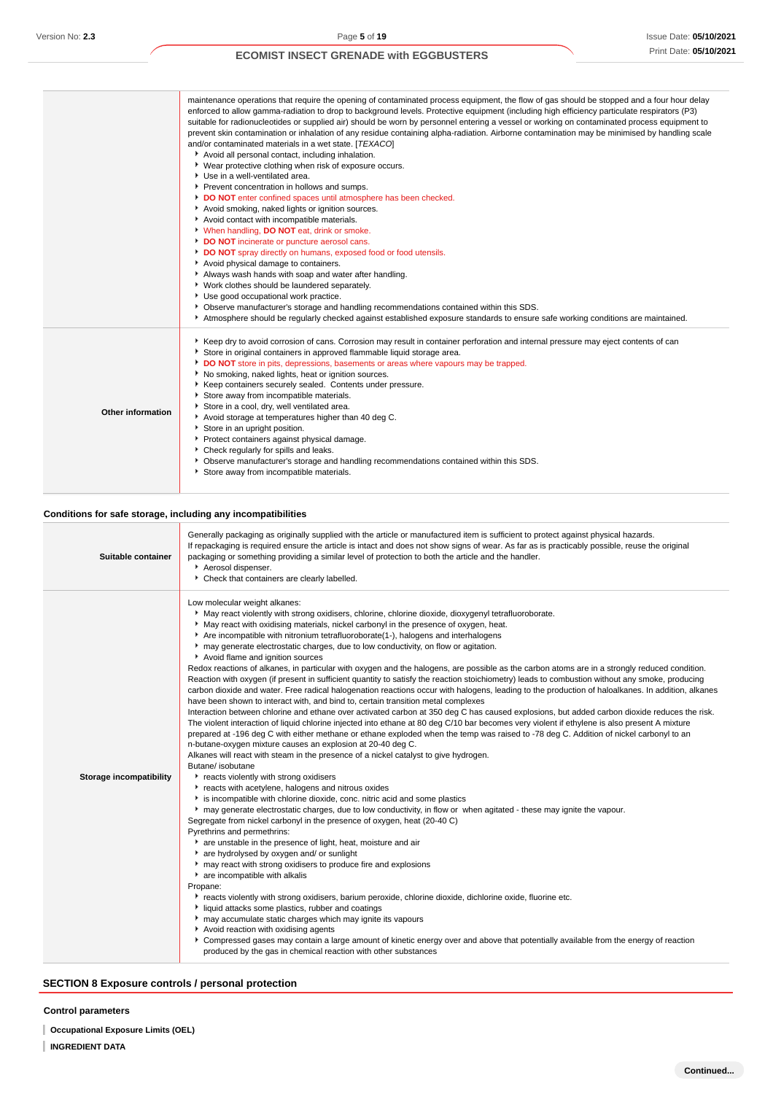|                   | maintenance operations that require the opening of contaminated process equipment, the flow of gas should be stopped and a four hour delay<br>enforced to allow gamma-radiation to drop to background levels. Protective equipment (including high efficiency particulate respirators (P3)<br>suitable for radionucleotides or supplied air) should be worn by personnel entering a vessel or working on contaminated process equipment to<br>prevent skin contamination or inhalation of any residue containing alpha-radiation. Airborne contamination may be minimised by handling scale<br>and/or contaminated materials in a wet state. [TEXACO]<br>Avoid all personal contact, including inhalation.<br>▶ Wear protective clothing when risk of exposure occurs.<br>Use in a well-ventilated area.<br>Prevent concentration in hollows and sumps.<br>DO NOT enter confined spaces until atmosphere has been checked.<br>Avoid smoking, naked lights or ignition sources.<br>Avoid contact with incompatible materials.<br>* When handling, DO NOT eat, drink or smoke.<br>DO NOT incinerate or puncture aerosol cans.<br>DO NOT spray directly on humans, exposed food or food utensils.<br>Avoid physical damage to containers.<br>Always wash hands with soap and water after handling.<br>Vork clothes should be laundered separately.<br>Use good occupational work practice.<br>• Observe manufacturer's storage and handling recommendations contained within this SDS.<br>Atmosphere should be regularly checked against established exposure standards to ensure safe working conditions are maintained. |
|-------------------|------------------------------------------------------------------------------------------------------------------------------------------------------------------------------------------------------------------------------------------------------------------------------------------------------------------------------------------------------------------------------------------------------------------------------------------------------------------------------------------------------------------------------------------------------------------------------------------------------------------------------------------------------------------------------------------------------------------------------------------------------------------------------------------------------------------------------------------------------------------------------------------------------------------------------------------------------------------------------------------------------------------------------------------------------------------------------------------------------------------------------------------------------------------------------------------------------------------------------------------------------------------------------------------------------------------------------------------------------------------------------------------------------------------------------------------------------------------------------------------------------------------------------------------------------------------------------------------------------------------------|
| Other information | ▶ Keep dry to avoid corrosion of cans. Corrosion may result in container perforation and internal pressure may eject contents of can<br>Store in original containers in approved flammable liquid storage area.<br>DO NOT store in pits, depressions, basements or areas where vapours may be trapped.<br>No smoking, naked lights, heat or ignition sources.<br>Keep containers securely sealed. Contents under pressure.<br>Store away from incompatible materials.<br>Store in a cool, dry, well ventilated area.<br>Avoid storage at temperatures higher than 40 deg C.<br>Store in an upright position.<br>Protect containers against physical damage.<br>Check regularly for spills and leaks.<br>• Observe manufacturer's storage and handling recommendations contained within this SDS.<br>Store away from incompatible materials.                                                                                                                                                                                                                                                                                                                                                                                                                                                                                                                                                                                                                                                                                                                                                                            |

## **Conditions for safe storage, including any incompatibilities**

Ì

| Suitable container             | Generally packaging as originally supplied with the article or manufactured item is sufficient to protect against physical hazards.<br>If repackaging is required ensure the article is intact and does not show signs of wear. As far as is practicably possible, reuse the original<br>packaging or something providing a similar level of protection to both the article and the handler.<br>Aerosol dispenser.<br>• Check that containers are clearly labelled.                                                                                                                                                                                                                                                                                                                                                                                                                                                                                                                                                                                                                                                                                                                                                                                                                                                                                                                                                                                                                                                                                                                                                                                                                                                                                                                                                                                                                                                                                                                                                                                                                                                                                                                                                                                                                                                                                                                                                                                                                                                                                                                                                                                                                                                                                        |
|--------------------------------|------------------------------------------------------------------------------------------------------------------------------------------------------------------------------------------------------------------------------------------------------------------------------------------------------------------------------------------------------------------------------------------------------------------------------------------------------------------------------------------------------------------------------------------------------------------------------------------------------------------------------------------------------------------------------------------------------------------------------------------------------------------------------------------------------------------------------------------------------------------------------------------------------------------------------------------------------------------------------------------------------------------------------------------------------------------------------------------------------------------------------------------------------------------------------------------------------------------------------------------------------------------------------------------------------------------------------------------------------------------------------------------------------------------------------------------------------------------------------------------------------------------------------------------------------------------------------------------------------------------------------------------------------------------------------------------------------------------------------------------------------------------------------------------------------------------------------------------------------------------------------------------------------------------------------------------------------------------------------------------------------------------------------------------------------------------------------------------------------------------------------------------------------------------------------------------------------------------------------------------------------------------------------------------------------------------------------------------------------------------------------------------------------------------------------------------------------------------------------------------------------------------------------------------------------------------------------------------------------------------------------------------------------------------------------------------------------------------------------------------------------------|
| <b>Storage incompatibility</b> | Low molecular weight alkanes:<br>May react violently with strong oxidisers, chlorine, chlorine dioxide, dioxygenyl tetrafluoroborate.<br>May react with oxidising materials, nickel carbonyl in the presence of oxygen, heat.<br>Are incompatible with nitronium tetrafluoroborate(1-), halogens and interhalogens<br>may generate electrostatic charges, due to low conductivity, on flow or agitation.<br>Avoid flame and ignition sources<br>Redox reactions of alkanes, in particular with oxygen and the halogens, are possible as the carbon atoms are in a strongly reduced condition.<br>Reaction with oxygen (if present in sufficient quantity to satisfy the reaction stoichiometry) leads to combustion without any smoke, producing<br>carbon dioxide and water. Free radical halogenation reactions occur with halogens, leading to the production of haloalkanes. In addition, alkanes<br>have been shown to interact with, and bind to, certain transition metal complexes<br>Interaction between chlorine and ethane over activated carbon at 350 deg C has caused explosions, but added carbon dioxide reduces the risk.<br>The violent interaction of liquid chlorine injected into ethane at 80 deg C/10 bar becomes very violent if ethylene is also present A mixture<br>prepared at -196 deg C with either methane or ethane exploded when the temp was raised to -78 deg C. Addition of nickel carbonyl to an<br>n-butane-oxygen mixture causes an explosion at 20-40 deg C.<br>Alkanes will react with steam in the presence of a nickel catalyst to give hydrogen.<br>Butane/ isobutane<br>reacts violently with strong oxidisers<br>reacts with acetylene, halogens and nitrous oxides<br>is incompatible with chlorine dioxide, conc. nitric acid and some plastics<br>▶ may generate electrostatic charges, due to low conductivity, in flow or when agitated - these may ignite the vapour.<br>Segregate from nickel carbonyl in the presence of oxygen, heat (20-40 C)<br>Pyrethrins and permethrins:<br>are unstable in the presence of light, heat, moisture and air<br>* are hydrolysed by oxygen and/ or sunlight<br>may react with strong oxidisers to produce fire and explosions<br>are incompatible with alkalis<br>Propane:<br>reacts violently with strong oxidisers, barium peroxide, chlorine dioxide, dichlorine oxide, fluorine etc.<br>In liquid attacks some plastics, rubber and coatings<br>may accumulate static charges which may ignite its vapours<br>Avoid reaction with oxidising agents<br>▶ Compressed gases may contain a large amount of kinetic energy over and above that potentially available from the energy of reaction<br>produced by the gas in chemical reaction with other substances |

## **SECTION 8 Exposure controls / personal protection**

## **Control parameters**

- **Occupational Exposure Limits (OEL)**
- **INGREDIENT DATA**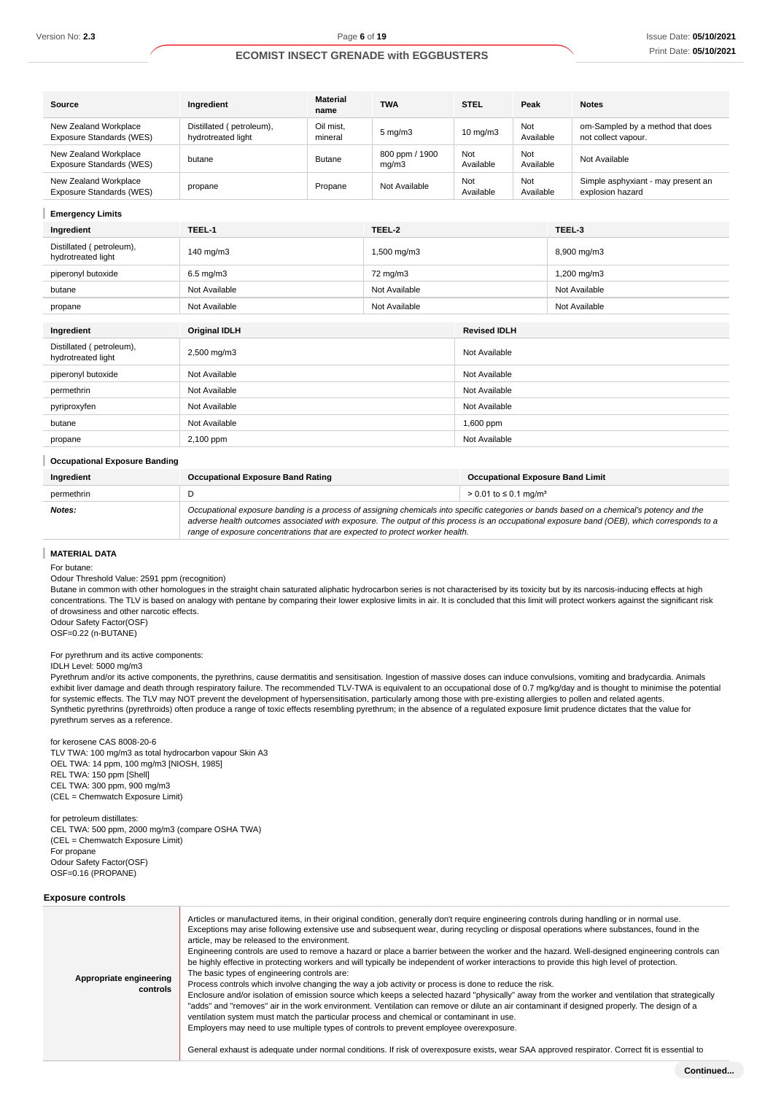| Source                                            | Ingredient                                     | <b>Material</b><br>name | <b>TWA</b>              | <b>STEL</b>       | Peak             | <b>Notes</b>                                            |
|---------------------------------------------------|------------------------------------------------|-------------------------|-------------------------|-------------------|------------------|---------------------------------------------------------|
| New Zealand Workplace<br>Exposure Standards (WES) | Distillated (petroleum),<br>hydrotreated light | Oil mist.<br>mineral    | $5 \text{ mg/m}$        | $10 \text{ mg/m}$ | Not<br>Available | om-Sampled by a method that does<br>not collect vapour. |
| New Zealand Workplace<br>Exposure Standards (WES) | butane                                         | <b>Butane</b>           | 800 ppm / 1900<br>mq/m3 | Not<br>Available  | Not<br>Available | Not Available                                           |
| New Zealand Workplace<br>Exposure Standards (WES) | propane                                        | Propane                 | Not Available           | Not<br>Available  | Not<br>Available | Simple asphyxiant - may present an<br>explosion hazard  |

#### **Emergency Limits**

| Ingredient                                     | TEEL-1               | TEEL-2        |                     | TEEL-3        |
|------------------------------------------------|----------------------|---------------|---------------------|---------------|
| Distillated (petroleum),<br>hydrotreated light | 140 mg/m3            | 1,500 mg/m3   |                     | 8,900 mg/m3   |
| piperonyl butoxide                             | $6.5 \text{ mg/m}$ 3 | 72 mg/m3      |                     | 1,200 mg/m3   |
| butane                                         | Not Available        | Not Available |                     | Not Available |
| propane                                        | Not Available        | Not Available |                     | Not Available |
| Ingredient                                     | <b>Original IDLH</b> |               | <b>Revised IDLH</b> |               |
|                                                |                      |               |                     |               |
| Distillated (petroleum),<br>hydrotreated light | 2,500 mg/m3          |               | Not Available       |               |
| piperonyl butoxide                             | Not Available        |               | Not Available       |               |

| permethrin                           | Not Available | Not Available |  |  |
|--------------------------------------|---------------|---------------|--|--|
| pyriproxyfen                         | Not Available | Not Available |  |  |
| butane                               | Not Available | $1,600$ ppm   |  |  |
| propane                              | 2,100 ppm     | Not Available |  |  |
| <b>Occupational Exposure Banding</b> |               |               |  |  |

| Ingredient | <b>Occupational Exposure Band Rating</b>                                                                                                                                                                                                                                                                                                                                 | <b>Occupational Exposure Band Limit</b> |  |
|------------|--------------------------------------------------------------------------------------------------------------------------------------------------------------------------------------------------------------------------------------------------------------------------------------------------------------------------------------------------------------------------|-----------------------------------------|--|
| permethrin |                                                                                                                                                                                                                                                                                                                                                                          | > 0.01 to ≤ 0.1 mg/m <sup>3</sup>       |  |
| Notes:     | Occupational exposure banding is a process of assigning chemicals into specific categories or bands based on a chemical's potency and the<br>adverse health outcomes associated with exposure. The output of this process is an occupational exposure band (OEB), which corresponds to a<br>range of exposure concentrations that are expected to protect worker health. |                                         |  |

### **MATERIAL DATA**

For butane:

Odour Threshold Value: 2591 ppm (recognition)

Butane in common with other homologues in the straight chain saturated aliphatic hydrocarbon series is not characterised by its toxicity but by its narcosis-inducing effects at high concentrations. The TLV is based on analogy with pentane by comparing their lower explosive limits in air. It is concluded that this limit will protect workers against the significant risk of drowsiness and other narcotic effects.

Odour Safety Factor(OSF) OSF=0.22 (n-BUTANE)

#### For pyrethrum and its active components:

IDLH Level: 5000 mg/m3

Pyrethrum and/or its active components, the pyrethrins, cause dermatitis and sensitisation. Ingestion of massive doses can induce convulsions, vomiting and bradycardia. Animals exhibit liver damage and death through respiratory failure. The recommended TLV-TWA is equivalent to an occupational dose of 0.7 mg/kg/day and is thought to minimise the potential for systemic effects. The TLV may NOT prevent the development of hypersensitisation, particularly among those with pre-existing allergies to pollen and related agents. Synthetic pyrethrins (pyrethroids) often produce a range of toxic effects resembling pyrethrum; in the absence of a regulated exposure limit prudence dictates that the value for pyrethrum serves as a reference.

for kerosene CAS 8008-20-6 TLV TWA: 100 mg/m3 as total hydrocarbon vapour Skin A3 OEL TWA: 14 ppm, 100 mg/m3 [NIOSH, 1985] REL TWA: 150 ppm [Shell] CEL TWA: 300 ppm, 900 mg/m3 (CEL = Chemwatch Exposure Limit)

for petroleum distillates: CEL TWA: 500 ppm, 2000 mg/m3 (compare OSHA TWA) (CEL = Chemwatch Exposure Limit) For propane Odour Safety Factor(OSF) OSF=0.16 (PROPANE)

### **Exposure controls**

| Appropriate engineering<br>controls | Articles or manufactured items, in their original condition, generally don't require engineering controls during handling or in normal use.<br>Exceptions may arise following extensive use and subsequent wear, during recycling or disposal operations where substances, found in the<br>article, may be released to the environment.<br>Engineering controls are used to remove a hazard or place a barrier between the worker and the hazard. Well-designed engineering controls can<br>be highly effective in protecting workers and will typically be independent of worker interactions to provide this high level of protection.<br>The basic types of engineering controls are:<br>Process controls which involve changing the way a job activity or process is done to reduce the risk.<br>Enclosure and/or isolation of emission source which keeps a selected hazard "physically" away from the worker and ventilation that strategically<br>"adds" and "removes" air in the work environment. Ventilation can remove or dilute an air contaminant if designed properly. The design of a<br>ventilation system must match the particular process and chemical or contaminant in use.<br>Employers may need to use multiple types of controls to prevent employee overexposure.<br>General exhaust is adequate under normal conditions. If risk of overexposure exists, wear SAA approved respirator. Correct fit is essential to |
|-------------------------------------|----------------------------------------------------------------------------------------------------------------------------------------------------------------------------------------------------------------------------------------------------------------------------------------------------------------------------------------------------------------------------------------------------------------------------------------------------------------------------------------------------------------------------------------------------------------------------------------------------------------------------------------------------------------------------------------------------------------------------------------------------------------------------------------------------------------------------------------------------------------------------------------------------------------------------------------------------------------------------------------------------------------------------------------------------------------------------------------------------------------------------------------------------------------------------------------------------------------------------------------------------------------------------------------------------------------------------------------------------------------------------------------------------------------------------------------------|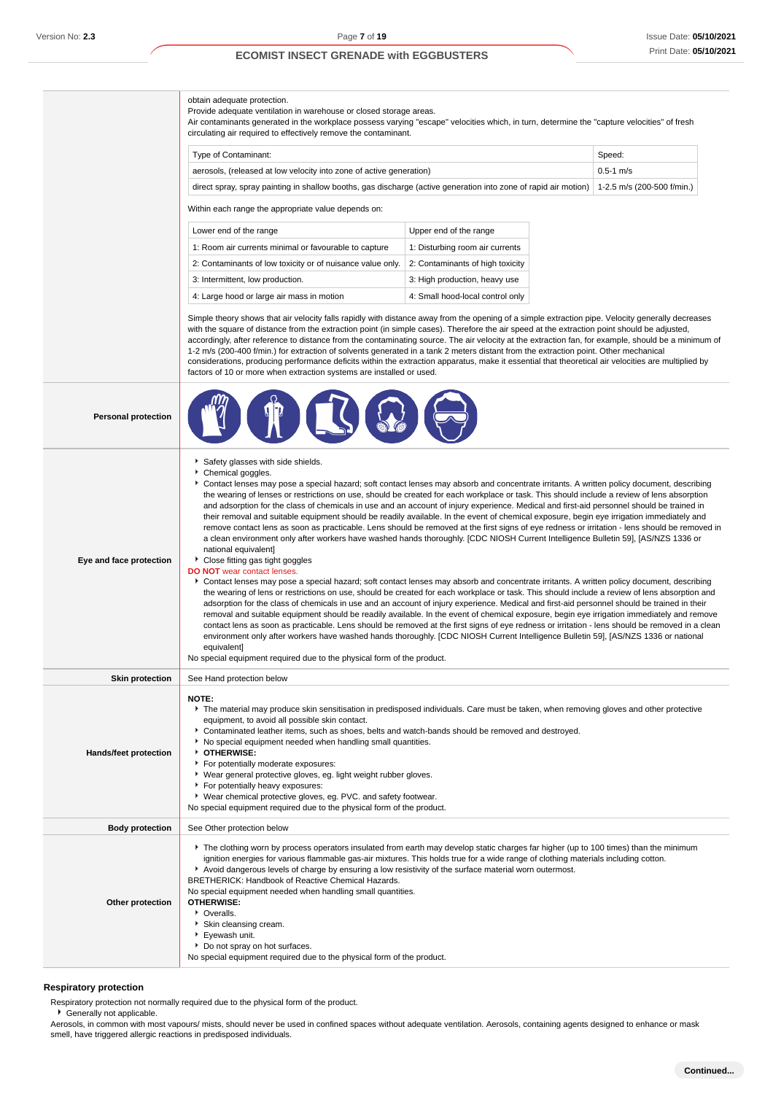obtain adequate protection.

Provide adequate ventilation in warehouse or closed storage areas.

Air contaminants generated in the workplace possess varying "escape" velocities which, in turn, determine the "capture velocities" of fresh circulating air required to effectively remove the contaminant.

| Type of Contaminant:                                                                                                                       | Speed:        |
|--------------------------------------------------------------------------------------------------------------------------------------------|---------------|
| aerosols, (released at low velocity into zone of active generation)                                                                        | $0.5 - 1$ m/s |
| direct spray, spray painting in shallow booths, gas discharge (active generation into zone of rapid air motion) 1-2.5 m/s (200-500 f/min.) |               |

Within each range the appropriate value depends on:

| Lower end of the range                                     | Upper end of the range           |
|------------------------------------------------------------|----------------------------------|
| 1: Room air currents minimal or favourable to capture      | 1: Disturbing room air currents  |
| 2: Contaminants of low toxicity or of nuisance value only. | 2: Contaminants of high toxicity |
| 3: Intermittent, low production.                           | 3: High production, heavy use    |
| 4: Large hood or large air mass in motion                  | 4: Small hood-local control only |

Simple theory shows that air velocity falls rapidly with distance away from the opening of a simple extraction pipe. Velocity generally decreases with the square of distance from the extraction point (in simple cases). Therefore the air speed at the extraction point should be adjusted, accordingly, after reference to distance from the contaminating source. The air velocity at the extraction fan, for example, should be a minimum of 1-2 m/s (200-400 f/min.) for extraction of solvents generated in a tank 2 meters distant from the extraction point. Other mechanical considerations, producing performance deficits within the extraction apparatus, make it essential that theoretical air velocities are multiplied by factors of 10 or more when extraction systems are installed or used.

| <b>Personal protection</b> |                                                                                                                                                                                                                                                                                                                                                                                                                                                                                                                                                                                                                                                                                                                                                                                                                                                                                                                                                                                                                                                                                                                                                                                                                                                                                                                                                                                                                                                                                                                                                                                                                                                                                                                                                                                                                                                                                                                                                                                                                       |
|----------------------------|-----------------------------------------------------------------------------------------------------------------------------------------------------------------------------------------------------------------------------------------------------------------------------------------------------------------------------------------------------------------------------------------------------------------------------------------------------------------------------------------------------------------------------------------------------------------------------------------------------------------------------------------------------------------------------------------------------------------------------------------------------------------------------------------------------------------------------------------------------------------------------------------------------------------------------------------------------------------------------------------------------------------------------------------------------------------------------------------------------------------------------------------------------------------------------------------------------------------------------------------------------------------------------------------------------------------------------------------------------------------------------------------------------------------------------------------------------------------------------------------------------------------------------------------------------------------------------------------------------------------------------------------------------------------------------------------------------------------------------------------------------------------------------------------------------------------------------------------------------------------------------------------------------------------------------------------------------------------------------------------------------------------------|
| Eye and face protection    | Safety glasses with side shields.<br>Chemical goggles.<br>Contact lenses may pose a special hazard; soft contact lenses may absorb and concentrate irritants. A written policy document, describing<br>the wearing of lenses or restrictions on use, should be created for each workplace or task. This should include a review of lens absorption<br>and adsorption for the class of chemicals in use and an account of injury experience. Medical and first-aid personnel should be trained in<br>their removal and suitable equipment should be readily available. In the event of chemical exposure, begin eye irrigation immediately and<br>remove contact lens as soon as practicable. Lens should be removed at the first signs of eye redness or irritation - lens should be removed in<br>a clean environment only after workers have washed hands thoroughly. [CDC NIOSH Current Intelligence Bulletin 59], [AS/NZS 1336 or<br>national equivalent]<br>Close fitting gas tight goggles<br><b>DO NOT</b> wear contact lenses.<br>Contact lenses may pose a special hazard; soft contact lenses may absorb and concentrate irritants. A written policy document, describing<br>the wearing of lens or restrictions on use, should be created for each workplace or task. This should include a review of lens absorption and<br>adsorption for the class of chemicals in use and an account of injury experience. Medical and first-aid personnel should be trained in their<br>removal and suitable equipment should be readily available. In the event of chemical exposure, begin eye irrigation immediately and remove<br>contact lens as soon as practicable. Lens should be removed at the first signs of eye redness or irritation - lens should be removed in a clean<br>environment only after workers have washed hands thoroughly. [CDC NIOSH Current Intelligence Bulletin 59], [AS/NZS 1336 or national<br>equivalent]<br>No special equipment required due to the physical form of the product. |
| <b>Skin protection</b>     | See Hand protection below                                                                                                                                                                                                                                                                                                                                                                                                                                                                                                                                                                                                                                                                                                                                                                                                                                                                                                                                                                                                                                                                                                                                                                                                                                                                                                                                                                                                                                                                                                                                                                                                                                                                                                                                                                                                                                                                                                                                                                                             |
| Hands/feet protection      | <b>NOTE:</b><br>The material may produce skin sensitisation in predisposed individuals. Care must be taken, when removing gloves and other protective<br>equipment, to avoid all possible skin contact.<br>Contaminated leather items, such as shoes, belts and watch-bands should be removed and destroyed.<br>No special equipment needed when handling small quantities.<br>OTHERWISE:<br>For potentially moderate exposures:<br>▶ Wear general protective gloves, eg. light weight rubber gloves.<br>For potentially heavy exposures:<br>▶ Wear chemical protective gloves, eg. PVC. and safety footwear.<br>No special equipment required due to the physical form of the product.                                                                                                                                                                                                                                                                                                                                                                                                                                                                                                                                                                                                                                                                                                                                                                                                                                                                                                                                                                                                                                                                                                                                                                                                                                                                                                                               |
| <b>Body protection</b>     | See Other protection below                                                                                                                                                                                                                                                                                                                                                                                                                                                                                                                                                                                                                                                                                                                                                                                                                                                                                                                                                                                                                                                                                                                                                                                                                                                                                                                                                                                                                                                                                                                                                                                                                                                                                                                                                                                                                                                                                                                                                                                            |
| Other protection           | ▶ The clothing worn by process operators insulated from earth may develop static charges far higher (up to 100 times) than the minimum<br>ignition energies for various flammable gas-air mixtures. This holds true for a wide range of clothing materials including cotton.<br>Avoid dangerous levels of charge by ensuring a low resistivity of the surface material worn outermost.<br>BRETHERICK: Handbook of Reactive Chemical Hazards.<br>No special equipment needed when handling small quantities.<br><b>OTHERWISE:</b><br>• Overalls.<br>Skin cleansing cream.<br>Eyewash unit.<br>Do not spray on hot surfaces.<br>No special equipment required due to the physical form of the product.                                                                                                                                                                                                                                                                                                                                                                                                                                                                                                                                                                                                                                                                                                                                                                                                                                                                                                                                                                                                                                                                                                                                                                                                                                                                                                                  |

### **Respiratory protection**

Respiratory protection not normally required due to the physical form of the product.

Generally not applicable.

Aerosols, in common with most vapours/ mists, should never be used in confined spaces without adequate ventilation. Aerosols, containing agents designed to enhance or mask smell, have triggered allergic reactions in predisposed individuals.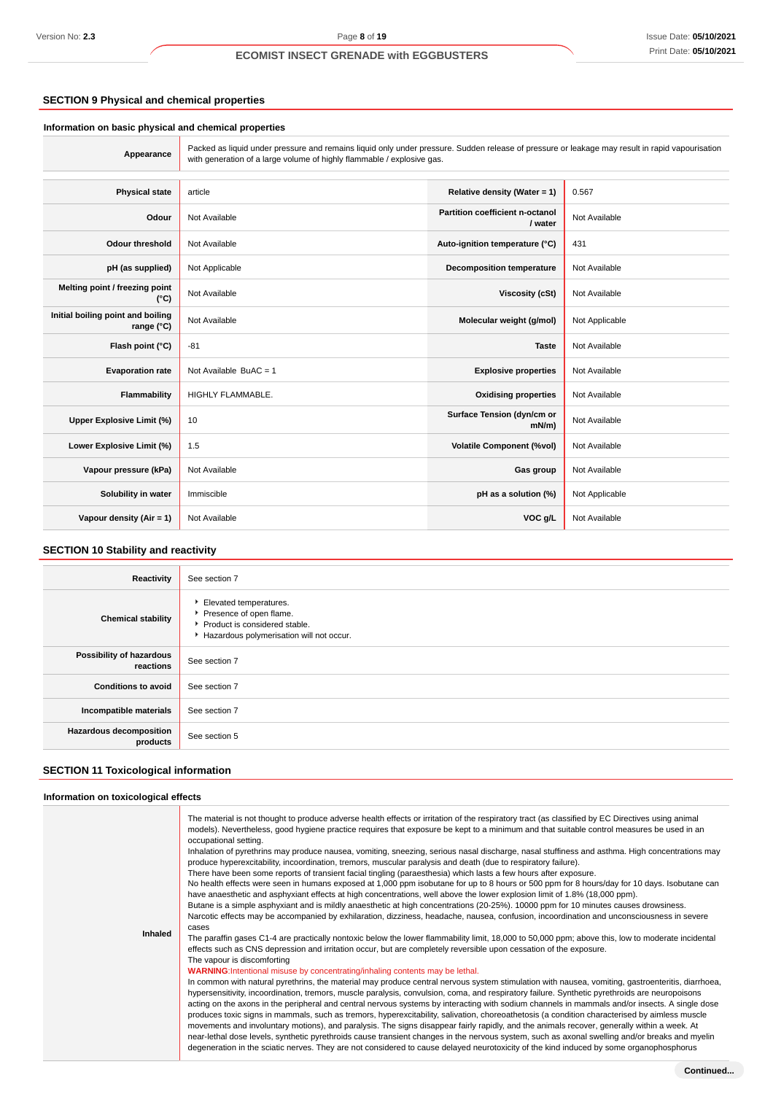## **SECTION 9 Physical and chemical properties**

#### **Information on basic physical and chemical properties**

**Appearance** Packed as liquid under pressure and remains liquid only under pressure. Sudden release of pressure or leakage may result in rapid vapourisation with generation of a large volume of highly flammable / explosive gas. **Physical state** article **Relative density (Water = 1)** 0.567 **Odour** Not Available **Partition coefficient n-octanol**<br> **Partition coefficient n-octanol Not Available Odour threshold** Not Available **Auto-ignition temperature (°C)** 431 **pH (as supplied)** Not Applicable **Decomposition temperature** Not Available **Melting point / freezing point CONFIDENTIAL CONTRACT Not Available Viscosity (cSt)** Not Available **Initial boiling point and boiling rand bolling** Not Available **Molecular weight (g/mol)** Not Applicable **range** (°C) **Flash point (°C)** -81 **Taste** Not Available **Evaporation rate** Not Available BuAC = 1 **Explosive properties** Not Available **Flammability** HIGHLY FLAMMABLE. **Oxidising properties** Not Available **Upper Explosive Limit (%)** 10 **Surface Tension (dyn/cm or**<br>
mN/m) **Not Available Lower Explosive Limit (%)** 1.5 **Volatile Component (%vol)** Not Available **Vapour pressure (kPa)** Not Available **Gas group** Not Available **Gas group** Not Available **Solubility in water** Immiscible **pH as a solution (%)** Not Applicable **Vapour density (Air = 1)** Not Available **VOC g/L** Not Available **VOC g/L** Not Available

## **SECTION 10 Stability and reactivity**

| Elevated temperatures.<br>Presence of open flame.<br><b>Chemical stability</b><br>Product is considered stable.<br>Hazardous polymerisation will not occur.<br>Possibility of hazardous<br>See section 7<br>reactions<br><b>Conditions to avoid</b><br>See section 7<br>Incompatible materials<br>See section 7 | <b>Reactivity</b> | See section 7 |
|-----------------------------------------------------------------------------------------------------------------------------------------------------------------------------------------------------------------------------------------------------------------------------------------------------------------|-------------------|---------------|
|                                                                                                                                                                                                                                                                                                                 |                   |               |
|                                                                                                                                                                                                                                                                                                                 |                   |               |
|                                                                                                                                                                                                                                                                                                                 |                   |               |
|                                                                                                                                                                                                                                                                                                                 |                   |               |
| <b>Hazardous decomposition</b><br>See section 5<br>products                                                                                                                                                                                                                                                     |                   |               |

## **SECTION 11 Toxicological information**

#### **Information on toxicological effects**

| Inhaled | The material is not thought to produce adverse health effects or irritation of the respiratory tract (as classified by EC Directives using animal<br>models). Nevertheless, good hygiene practice requires that exposure be kept to a minimum and that suitable control measures be used in an<br>occupational setting.<br>Inhalation of pyrethrins may produce nausea, vomiting, sneezing, serious nasal discharge, nasal stuffiness and asthma. High concentrations may<br>produce hyperexcitability, incoordination, tremors, muscular paralysis and death (due to respiratory failure).<br>There have been some reports of transient facial tingling (paraesthesia) which lasts a few hours after exposure.<br>No health effects were seen in humans exposed at 1,000 ppm isobutane for up to 8 hours or 500 ppm for 8 hours/day for 10 days. Isobutane can<br>have anaesthetic and asphyxiant effects at high concentrations, well above the lower explosion limit of 1.8% (18,000 ppm).<br>Butane is a simple asphyxiant and is mildly anaesthetic at high concentrations (20-25%). 10000 ppm for 10 minutes causes drowsiness.<br>Narcotic effects may be accompanied by exhilaration, dizziness, headache, nausea, confusion, incoordination and unconsciousness in severe<br>cases<br>The paraffin gases C1-4 are practically nontoxic below the lower flammability limit, 18,000 to 50,000 ppm; above this, low to moderate incidental<br>effects such as CNS depression and irritation occur, but are completely reversible upon cessation of the exposure.<br>The vapour is discomforting<br><b>WARNING:</b> Intentional misuse by concentrating/inhaling contents may be lethal.<br>In common with natural pyrethrins, the material may produce central nervous system stimulation with nausea, vomiting, gastroenteritis, diarrhoea,<br>hypersensitivity, incoordination, tremors, muscle paralysis, convulsion, coma, and respiratory failure. Synthetic pyrethroids are neuropoisons<br>acting on the axons in the peripheral and central nervous systems by interacting with sodium channels in mammals and/or insects. A single dose<br>produces toxic signs in mammals, such as tremors, hyperexcitability, salivation, choreoathetosis (a condition characterised by aimless muscle<br>movements and involuntary motions), and paralysis. The signs disappear fairly rapidly, and the animals recover, generally within a week. At<br>near-lethal dose levels, synthetic pyrethroids cause transient changes in the nervous system, such as axonal swelling and/or breaks and myelin<br>degeneration in the sciatic nerves. They are not considered to cause delayed neurotoxicity of the kind induced by some organophosphorus |
|---------|-----------------------------------------------------------------------------------------------------------------------------------------------------------------------------------------------------------------------------------------------------------------------------------------------------------------------------------------------------------------------------------------------------------------------------------------------------------------------------------------------------------------------------------------------------------------------------------------------------------------------------------------------------------------------------------------------------------------------------------------------------------------------------------------------------------------------------------------------------------------------------------------------------------------------------------------------------------------------------------------------------------------------------------------------------------------------------------------------------------------------------------------------------------------------------------------------------------------------------------------------------------------------------------------------------------------------------------------------------------------------------------------------------------------------------------------------------------------------------------------------------------------------------------------------------------------------------------------------------------------------------------------------------------------------------------------------------------------------------------------------------------------------------------------------------------------------------------------------------------------------------------------------------------------------------------------------------------------------------------------------------------------------------------------------------------------------------------------------------------------------------------------------------------------------------------------------------------------------------------------------------------------------------------------------------------------------------------------------------------------------------------------------------------------------------------------------------------------------------------------------------------------------------------------------------------------------------------------------------------------------------------------------------------------------------------------------------------------------------------------------------|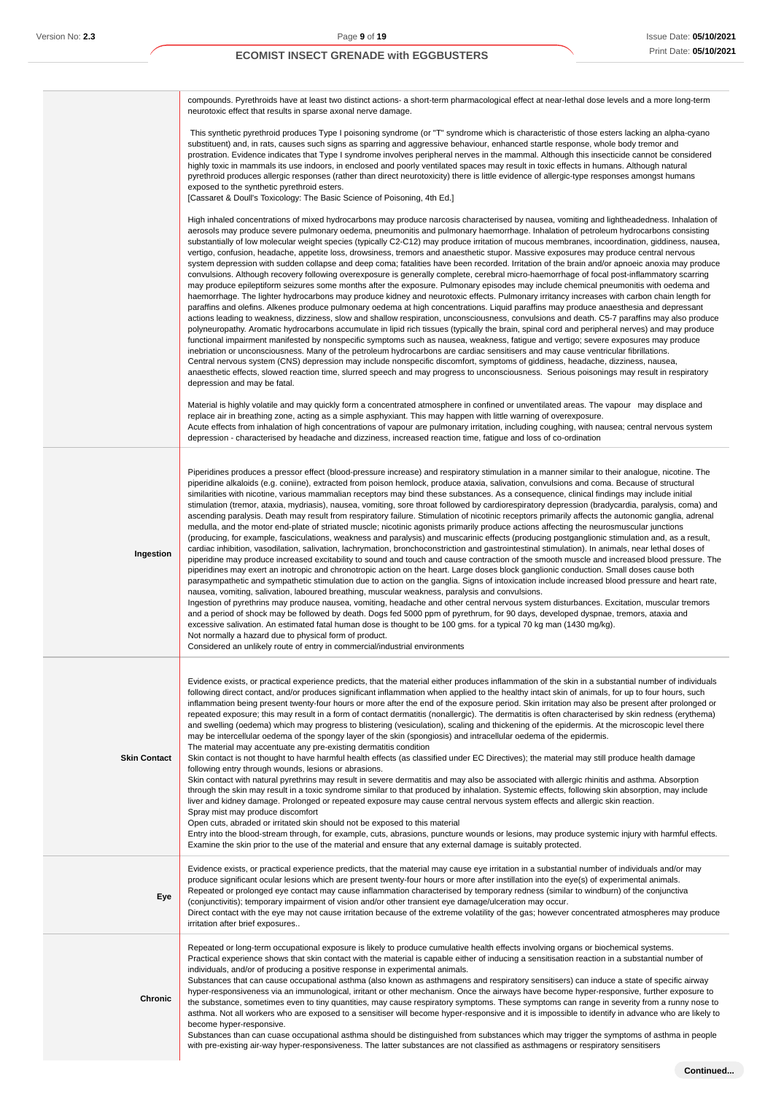|                     | compounds. Pyrethroids have at least two distinct actions- a short-term pharmacological effect at near-lethal dose levels and a more long-term<br>neurotoxic effect that results in sparse axonal nerve damage.                                                                                                                                                                                                                                                                                                                                                                                                                                                                                                                                                                                                                                                                                                                                                                                                                                                                                                                                                                                                                                                                                                                                                                                                                                                                                                                                                                                                                                                                                                                                                                                                                                                                                                                                                                                                                                                                                                                                                                                                                                                                                                           |
|---------------------|---------------------------------------------------------------------------------------------------------------------------------------------------------------------------------------------------------------------------------------------------------------------------------------------------------------------------------------------------------------------------------------------------------------------------------------------------------------------------------------------------------------------------------------------------------------------------------------------------------------------------------------------------------------------------------------------------------------------------------------------------------------------------------------------------------------------------------------------------------------------------------------------------------------------------------------------------------------------------------------------------------------------------------------------------------------------------------------------------------------------------------------------------------------------------------------------------------------------------------------------------------------------------------------------------------------------------------------------------------------------------------------------------------------------------------------------------------------------------------------------------------------------------------------------------------------------------------------------------------------------------------------------------------------------------------------------------------------------------------------------------------------------------------------------------------------------------------------------------------------------------------------------------------------------------------------------------------------------------------------------------------------------------------------------------------------------------------------------------------------------------------------------------------------------------------------------------------------------------------------------------------------------------------------------------------------------------|
|                     | This synthetic pyrethroid produces Type I poisoning syndrome (or "T" syndrome which is characteristic of those esters lacking an alpha-cyano<br>substituent) and, in rats, causes such signs as sparring and aggressive behaviour, enhanced startle response, whole body tremor and<br>prostration. Evidence indicates that Type I syndrome involves peripheral nerves in the mammal. Although this insecticide cannot be considered<br>highly toxic in mammals its use indoors, in enclosed and poorly ventilated spaces may result in toxic effects in humans. Although natural<br>pyrethroid produces allergic responses (rather than direct neurotoxicity) there is little evidence of allergic-type responses amongst humans<br>exposed to the synthetic pyrethroid esters.<br>[Cassaret & Doull's Toxicology: The Basic Science of Poisoning, 4th Ed.]                                                                                                                                                                                                                                                                                                                                                                                                                                                                                                                                                                                                                                                                                                                                                                                                                                                                                                                                                                                                                                                                                                                                                                                                                                                                                                                                                                                                                                                              |
|                     | High inhaled concentrations of mixed hydrocarbons may produce narcosis characterised by nausea, vomiting and lightheadedness. Inhalation of<br>aerosols may produce severe pulmonary oedema, pneumonitis and pulmonary haemorrhage. Inhalation of petroleum hydrocarbons consisting<br>substantially of low molecular weight species (typically C2-C12) may produce irritation of mucous membranes, incoordination, giddiness, nausea,<br>vertigo, confusion, headache, appetite loss, drowsiness, tremors and anaesthetic stupor. Massive exposures may produce central nervous<br>system depression with sudden collapse and deep coma; fatalities have been recorded. Irritation of the brain and/or apnoeic anoxia may produce<br>convulsions. Although recovery following overexposure is generally complete, cerebral micro-haemorrhage of focal post-inflammatory scarring<br>may produce epileptiform seizures some months after the exposure. Pulmonary episodes may include chemical pneumonitis with oedema and<br>haemorrhage. The lighter hydrocarbons may produce kidney and neurotoxic effects. Pulmonary irritancy increases with carbon chain length for<br>paraffins and olefins. Alkenes produce pulmonary oedema at high concentrations. Liquid paraffins may produce anaesthesia and depressant<br>actions leading to weakness, dizziness, slow and shallow respiration, unconsciousness, convulsions and death. C5-7 paraffins may also produce<br>polyneuropathy. Aromatic hydrocarbons accumulate in lipid rich tissues (typically the brain, spinal cord and peripheral nerves) and may produce<br>functional impairment manifested by nonspecific symptoms such as nausea, weakness, fatigue and vertigo; severe exposures may produce<br>inebriation or unconsciousness. Many of the petroleum hydrocarbons are cardiac sensitisers and may cause ventricular fibrillations.<br>Central nervous system (CNS) depression may include nonspecific discomfort, symptoms of giddiness, headache, dizziness, nausea,<br>anaesthetic effects, slowed reaction time, slurred speech and may progress to unconsciousness. Serious poisonings may result in respiratory<br>depression and may be fatal.                                                                                                 |
|                     | Material is highly volatile and may quickly form a concentrated atmosphere in confined or unventilated areas. The vapour may displace and<br>replace air in breathing zone, acting as a simple asphyxiant. This may happen with little warning of overexposure.<br>Acute effects from inhalation of high concentrations of vapour are pulmonary irritation, including coughing, with nausea; central nervous system<br>depression - characterised by headache and dizziness, increased reaction time, fatigue and loss of co-ordination                                                                                                                                                                                                                                                                                                                                                                                                                                                                                                                                                                                                                                                                                                                                                                                                                                                                                                                                                                                                                                                                                                                                                                                                                                                                                                                                                                                                                                                                                                                                                                                                                                                                                                                                                                                   |
| Ingestion           | Piperidines produces a pressor effect (blood-pressure increase) and respiratory stimulation in a manner similar to their analogue, nicotine. The<br>piperidine alkaloids (e.g. coniine), extracted from poison hemlock, produce ataxia, salivation, convulsions and coma. Because of structural<br>similarities with nicotine, various mammalian receptors may bind these substances. As a consequence, clinical findings may include initial<br>stimulation (tremor, ataxia, mydriasis), nausea, vomiting, sore throat followed by cardiorespiratory depression (bradycardia, paralysis, coma) and<br>ascending paralysis. Death may result from respiratory failure. Stimulation of nicotinic receptors primarily affects the autonomic ganglia, adrenal<br>medulla, and the motor end-plate of striated muscle; nicotinic agonists primarily produce actions affecting the neurosmuscular junctions<br>(producing, for example, fasciculations, weakness and paralysis) and muscarinic effects (producing postganglionic stimulation and, as a result,<br>cardiac inhibition, vasodilation, salivation, lachrymation, bronchoconstriction and gastrointestinal stimulation). In animals, near lethal doses of<br>piperidine may produce increased excitability to sound and touch and cause contraction of the smooth muscle and increased blood pressure. The<br>piperidines may exert an inotropic and chronotropic action on the heart. Large doses block ganglionic conduction. Small doses cause both<br>parasympathetic and sympathetic stimulation due to action on the ganglia. Signs of intoxication include increased blood pressure and heart rate,<br>nausea, vomiting, salivation, laboured breathing, muscular weakness, paralysis and convulsions.<br>Ingestion of pyrethrins may produce nausea, vomiting, headache and other central nervous system disturbances. Excitation, muscular tremors<br>and a period of shock may be followed by death. Dogs fed 5000 ppm of pyrethrum, for 90 days, developed dyspnae, tremors, ataxia and<br>excessive salivation. An estimated fatal human dose is thought to be 100 gms. for a typical 70 kg man (1430 mg/kg).<br>Not normally a hazard due to physical form of product.<br>Considered an unlikely route of entry in commercial/industrial environments |
| <b>Skin Contact</b> | Evidence exists, or practical experience predicts, that the material either produces inflammation of the skin in a substantial number of individuals<br>following direct contact, and/or produces significant inflammation when applied to the healthy intact skin of animals, for up to four hours, such<br>inflammation being present twenty-four hours or more after the end of the exposure period. Skin irritation may also be present after prolonged or<br>repeated exposure; this may result in a form of contact dermatitis (nonallergic). The dermatitis is often characterised by skin redness (erythema)<br>and swelling (oedema) which may progress to blistering (vesiculation), scaling and thickening of the epidermis. At the microscopic level there<br>may be intercellular oedema of the spongy layer of the skin (spongiosis) and intracellular oedema of the epidermis.<br>The material may accentuate any pre-existing dermatitis condition<br>Skin contact is not thought to have harmful health effects (as classified under EC Directives); the material may still produce health damage<br>following entry through wounds, lesions or abrasions.<br>Skin contact with natural pyrethrins may result in severe dermatitis and may also be associated with allergic rhinitis and asthma. Absorption<br>through the skin may result in a toxic syndrome similar to that produced by inhalation. Systemic effects, following skin absorption, may include<br>liver and kidney damage. Prolonged or repeated exposure may cause central nervous system effects and allergic skin reaction.<br>Spray mist may produce discomfort<br>Open cuts, abraded or irritated skin should not be exposed to this material<br>Entry into the blood-stream through, for example, cuts, abrasions, puncture wounds or lesions, may produce systemic injury with harmful effects.<br>Examine the skin prior to the use of the material and ensure that any external damage is suitably protected.                                                                                                                                                                                                                                                                                                                  |
| Eye                 | Evidence exists, or practical experience predicts, that the material may cause eye irritation in a substantial number of individuals and/or may<br>produce significant ocular lesions which are present twenty-four hours or more after instillation into the eye(s) of experimental animals.<br>Repeated or prolonged eye contact may cause inflammation characterised by temporary redness (similar to windburn) of the conjunctiva<br>(conjunctivitis); temporary impairment of vision and/or other transient eye damage/ulceration may occur.<br>Direct contact with the eye may not cause irritation because of the extreme volatility of the gas; however concentrated atmospheres may produce<br>irritation after brief exposures                                                                                                                                                                                                                                                                                                                                                                                                                                                                                                                                                                                                                                                                                                                                                                                                                                                                                                                                                                                                                                                                                                                                                                                                                                                                                                                                                                                                                                                                                                                                                                                  |
| Chronic             | Repeated or long-term occupational exposure is likely to produce cumulative health effects involving organs or biochemical systems.<br>Practical experience shows that skin contact with the material is capable either of inducing a sensitisation reaction in a substantial number of<br>individuals, and/or of producing a positive response in experimental animals.<br>Substances that can cause occupational asthma (also known as asthmagens and respiratory sensitisers) can induce a state of specific airway<br>hyper-responsiveness via an immunological, irritant or other mechanism. Once the airways have become hyper-responsive, further exposure to<br>the substance, sometimes even to tiny quantities, may cause respiratory symptoms. These symptoms can range in severity from a runny nose to<br>asthma. Not all workers who are exposed to a sensitiser will become hyper-responsive and it is impossible to identify in advance who are likely to<br>become hyper-responsive.                                                                                                                                                                                                                                                                                                                                                                                                                                                                                                                                                                                                                                                                                                                                                                                                                                                                                                                                                                                                                                                                                                                                                                                                                                                                                                                     |

Substances than can cuase occupational asthma should be distinguished from substances which may trigger the symptoms of asthma in people with pre-existing air-way hyper-responsiveness. The latter substances are not classified as asthmagens or respiratory sensitisers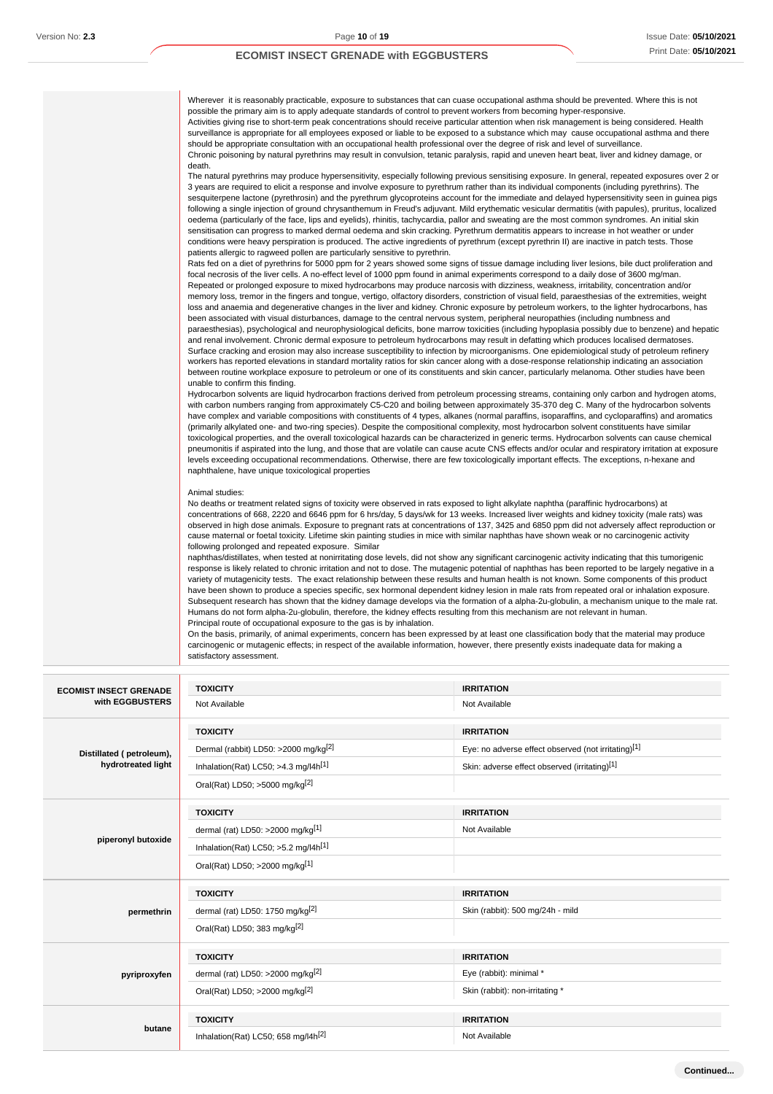| Wherever it is reasonably practicable, exposure to substances that can cuase occupational asthma should be prevented. Where this is not<br>possible the primary aim is to apply adequate standards of control to prevent workers from becoming hyper-responsive.<br>Activities giving rise to short-term peak concentrations should receive particular attention when risk management is being considered. Health<br>surveillance is appropriate for all employees exposed or liable to be exposed to a substance which may cause occupational asthma and there<br>should be appropriate consultation with an occupational health professional over the degree of risk and level of surveillance.<br>Chronic poisoning by natural pyrethrins may result in convulsion, tetanic paralysis, rapid and uneven heart beat, liver and kidney damage, or<br>death.                                                                                                                                                                                                                                                                                                                                                                                                                                                                                                                                                                                                                                                                                                                                                                 |
|------------------------------------------------------------------------------------------------------------------------------------------------------------------------------------------------------------------------------------------------------------------------------------------------------------------------------------------------------------------------------------------------------------------------------------------------------------------------------------------------------------------------------------------------------------------------------------------------------------------------------------------------------------------------------------------------------------------------------------------------------------------------------------------------------------------------------------------------------------------------------------------------------------------------------------------------------------------------------------------------------------------------------------------------------------------------------------------------------------------------------------------------------------------------------------------------------------------------------------------------------------------------------------------------------------------------------------------------------------------------------------------------------------------------------------------------------------------------------------------------------------------------------------------------------------------------------------------------------------------------------|
| The natural pyrethrins may produce hypersensitivity, especially following previous sensitising exposure. In general, repeated exposures over 2 or<br>3 years are required to elicit a response and involve exposure to pyrethrum rather than its individual components (including pyrethrins). The<br>sesquiterpene lactone (pyrethrosin) and the pyrethrum glycoproteins account for the immediate and delayed hypersensitivity seen in guinea pigs<br>following a single injection of ground chrysanthemum in Freud's adjuvant. Mild erythematic vesicular dermatitis (with papules), pruritus, localized<br>oedema (particularly of the face, lips and eyelids), rhinitis, tachycardia, pallor and sweating are the most common syndromes. An initial skin<br>sensitisation can progress to marked dermal oedema and skin cracking. Pyrethrum dermatitis appears to increase in hot weather or under<br>conditions were heavy perspiration is produced. The active ingredients of pyrethrum (except pyrethrin II) are inactive in patch tests. Those<br>patients allergic to ragweed pollen are particularly sensitive to pyrethrin.                                                                                                                                                                                                                                                                                                                                                                                                                                                                                      |
| Rats fed on a diet of pyrethrins for 5000 ppm for 2 years showed some signs of tissue damage including liver lesions, bile duct proliferation and<br>focal necrosis of the liver cells. A no-effect level of 1000 ppm found in animal experiments correspond to a daily dose of 3600 mg/man.<br>Repeated or prolonged exposure to mixed hydrocarbons may produce narcosis with dizziness, weakness, irritability, concentration and/or<br>memory loss, tremor in the fingers and tongue, vertigo, olfactory disorders, constriction of visual field, paraesthesias of the extremities, weight<br>loss and anaemia and degenerative changes in the liver and kidney. Chronic exposure by petroleum workers, to the lighter hydrocarbons, has<br>been associated with visual disturbances, damage to the central nervous system, peripheral neuropathies (including numbness and<br>paraesthesias), psychological and neurophysiological deficits, bone marrow toxicities (including hypoplasia possibly due to benzene) and hepatic<br>and renal involvement. Chronic dermal exposure to petroleum hydrocarbons may result in defatting which produces localised dermatoses.<br>Surface cracking and erosion may also increase susceptibility to infection by microorganisms. One epidemiological study of petroleum refinery<br>workers has reported elevations in standard mortality ratios for skin cancer along with a dose-response relationship indicating an association<br>between routine workplace exposure to petroleum or one of its constituents and skin cancer, particularly melanoma. Other studies have been |
| unable to confirm this finding.<br>Hydrocarbon solvents are liquid hydrocarbon fractions derived from petroleum processing streams, containing only carbon and hydrogen atoms,<br>with carbon numbers ranging from approximately C5-C20 and boiling between approximately 35-370 deg C. Many of the hydrocarbon solvents<br>have complex and variable compositions with constituents of 4 types, alkanes (normal paraffins, isoparaffins, and cycloparaffins) and aromatics<br>(primarily alkylated one- and two-ring species). Despite the compositional complexity, most hydrocarbon solvent constituents have similar<br>toxicological properties, and the overall toxicological hazards can be characterized in generic terms. Hydrocarbon solvents can cause chemical<br>pneumonitis if aspirated into the lung, and those that are volatile can cause acute CNS effects and/or ocular and respiratory irritation at exposure<br>levels exceeding occupational recommendations. Otherwise, there are few toxicologically important effects. The exceptions, n-hexane and<br>naphthalene, have unique toxicological properties                                                                                                                                                                                                                                                                                                                                                                                                                                                                                           |
| Animal studies:<br>No deaths or treatment related signs of toxicity were observed in rats exposed to light alkylate naphtha (paraffinic hydrocarbons) at<br>concentrations of 668, 2220 and 6646 ppm for 6 hrs/day, 5 days/wk for 13 weeks. Increased liver weights and kidney toxicity (male rats) was<br>observed in high dose animals. Exposure to pregnant rats at concentrations of 137, 3425 and 6850 ppm did not adversely affect reproduction or<br>cause maternal or foetal toxicity. Lifetime skin painting studies in mice with similar naphthas have shown weak or no carcinogenic activity<br>following prolonged and repeated exposure. Similar                                                                                                                                                                                                                                                                                                                                                                                                                                                                                                                                                                                                                                                                                                                                                                                                                                                                                                                                                                |
| naphthas/distillates, when tested at nonirritating dose levels, did not show any significant carcinogenic activity indicating that this tumorigenic<br>response is likely related to chronic irritation and not to dose. The mutagenic potential of naphthas has been reported to be largely negative in a<br>variety of mutagenicity tests. The exact relationship between these results and human health is not known. Some components of this product<br>have been shown to produce a species specific, sex hormonal dependent kidney lesion in male rats from repeated oral or inhalation exposure.<br>Subsequent research has shown that the kidney damage develops via the formation of a alpha-2u-globulin, a mechanism unique to the male rat.<br>Humans do not form alpha-2u-globulin, therefore, the kidney effects resulting from this mechanism are not relevant in human.<br>Principal route of occupational exposure to the gas is by inhalation.                                                                                                                                                                                                                                                                                                                                                                                                                                                                                                                                                                                                                                                              |
| On the basis, primarily, of animal experiments, concern has been expressed by at least one classification body that the material may produce                                                                                                                                                                                                                                                                                                                                                                                                                                                                                                                                                                                                                                                                                                                                                                                                                                                                                                                                                                                                                                                                                                                                                                                                                                                                                                                                                                                                                                                                                 |

carcinogenic or mutagenic effects; in respect of the available information, however, there presently exists inadequate data for making a satisfactory assessment.

| <b>ECOMIST INSECT GRENADE</b> | <b>TOXICITY</b>                                    | <b>IRRITATION</b>                                   |
|-------------------------------|----------------------------------------------------|-----------------------------------------------------|
| with EGGBUSTERS               | Not Available                                      | Not Available                                       |
|                               | <b>TOXICITY</b>                                    | <b>IRRITATION</b>                                   |
| Distillated (petroleum),      | Dermal (rabbit) LD50: >2000 mg/kg <sup>[2]</sup>   | Eye: no adverse effect observed (not irritating)[1] |
| hydrotreated light            | Inhalation(Rat) LC50; $>4.3$ mg/l4h <sup>[1]</sup> | Skin: adverse effect observed (irritating)[1]       |
|                               | Oral(Rat) LD50; >5000 mg/kg <sup>[2]</sup>         |                                                     |
|                               | <b>TOXICITY</b>                                    | <b>IRRITATION</b>                                   |
|                               | dermal (rat) LD50: >2000 mg/kg $[1]$               | Not Available                                       |
| piperonyl butoxide            | Inhalation(Rat) LC50; $>5.2$ mg/l4h <sup>[1]</sup> |                                                     |
|                               | Oral(Rat) LD50; >2000 mg/kg[1]                     |                                                     |
|                               | <b>TOXICITY</b>                                    | <b>IRRITATION</b>                                   |
| permethrin                    | dermal (rat) LD50: 1750 mg/kg $[2]$                | Skin (rabbit): 500 mg/24h - mild                    |
|                               | Oral(Rat) LD50; 383 mg/kg <sup>[2]</sup>           |                                                     |
|                               | <b>TOXICITY</b>                                    | <b>IRRITATION</b>                                   |
| pyriproxyfen                  | dermal (rat) LD50: >2000 mg/kg $[2]$               | Eye (rabbit): minimal *                             |
|                               | Oral(Rat) LD50; >2000 mg/kg[2]                     | Skin (rabbit): non-irritating *                     |
|                               | <b>TOXICITY</b>                                    | <b>IRRITATION</b>                                   |
| butane                        | Inhalation(Rat) LC50; 658 mg/l4h <sup>[2]</sup>    | Not Available                                       |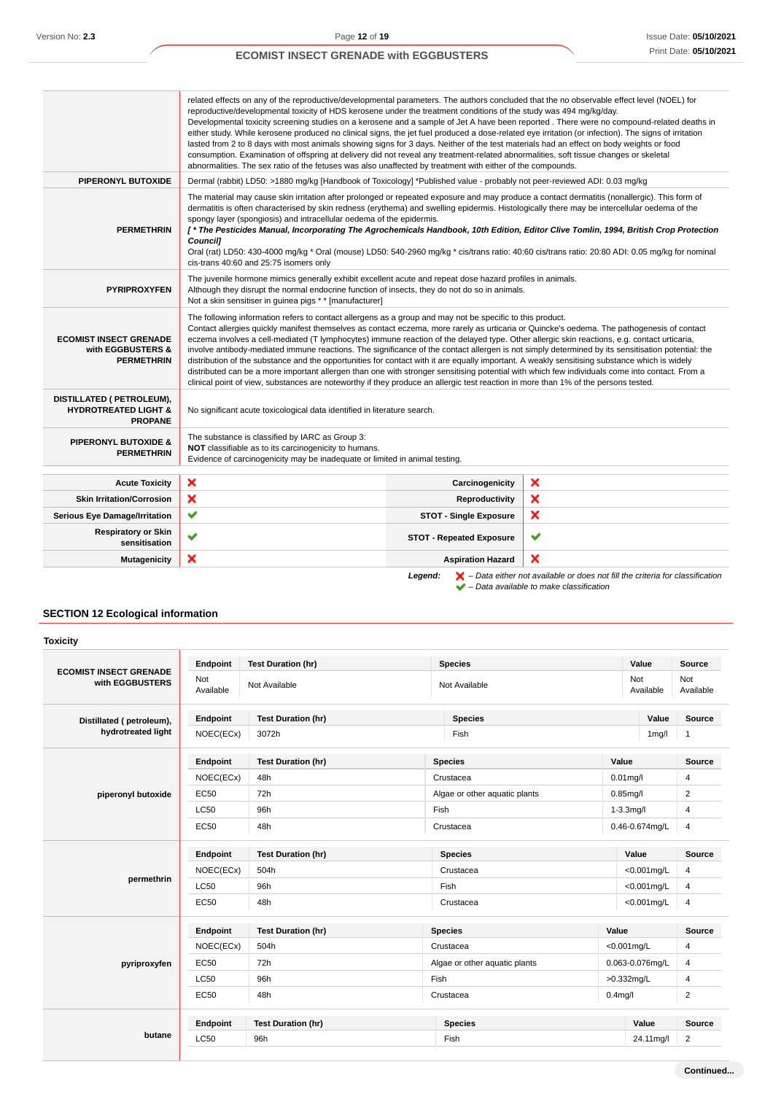|                                                                                | related effects on any of the reproductive/developmental parameters. The authors concluded that the no observable effect level (NOEL) for<br>reproductive/developmental toxicity of HDS kerosene under the treatment conditions of the study was 494 mg/kg/day.<br>Developmental toxicity screening studies on a kerosene and a sample of Jet A have been reported. There were no compound-related deaths in<br>either study. While kerosene produced no clinical signs, the jet fuel produced a dose-related eye irritation (or infection). The signs of irritation<br>lasted from 2 to 8 days with most animals showing signs for 3 days. Neither of the test materials had an effect on body weights or food<br>consumption. Examination of offspring at delivery did not reveal any treatment-related abnormalities, soft tissue changes or skeletal<br>abnormalities. The sex ratio of the fetuses was also unaffected by treatment with either of the compounds.                               |                                 |                                                                                                    |
|--------------------------------------------------------------------------------|------------------------------------------------------------------------------------------------------------------------------------------------------------------------------------------------------------------------------------------------------------------------------------------------------------------------------------------------------------------------------------------------------------------------------------------------------------------------------------------------------------------------------------------------------------------------------------------------------------------------------------------------------------------------------------------------------------------------------------------------------------------------------------------------------------------------------------------------------------------------------------------------------------------------------------------------------------------------------------------------------|---------------------------------|----------------------------------------------------------------------------------------------------|
| PIPERONYL BUTOXIDE                                                             | Dermal (rabbit) LD50: >1880 mg/kg [Handbook of Toxicology] *Published value - probably not peer-reviewed ADI: 0.03 mg/kg                                                                                                                                                                                                                                                                                                                                                                                                                                                                                                                                                                                                                                                                                                                                                                                                                                                                             |                                 |                                                                                                    |
| <b>PERMETHRIN</b>                                                              | The material may cause skin irritation after prolonged or repeated exposure and may produce a contact dermatitis (nonallergic). This form of<br>dermatitis is often characterised by skin redness (erythema) and swelling epidermis. Histologically there may be intercellular oedema of the<br>spongy layer (spongiosis) and intracellular oedema of the epidermis.<br>[* The Pesticides Manual, Incorporating The Agrochemicals Handbook, 10th Edition, Editor Clive Tomlin, 1994, British Crop Protection<br>Council1<br>Oral (rat) LD50: 430-4000 mg/kg * Oral (mouse) LD50: 540-2960 mg/kg * cis/trans ratio: 40:60 cis/trans ratio: 20:80 ADI: 0.05 mg/kg for nominal<br>cis-trans 40:60 and 25:75 isomers only                                                                                                                                                                                                                                                                                |                                 |                                                                                                    |
| <b>PYRIPROXYFEN</b>                                                            | The juvenile hormone mimics generally exhibit excellent acute and repeat dose hazard profiles in animals.<br>Although they disrupt the normal endocrine function of insects, they do not do so in animals.<br>Not a skin sensitiser in guinea pigs * * [manufacturer]                                                                                                                                                                                                                                                                                                                                                                                                                                                                                                                                                                                                                                                                                                                                |                                 |                                                                                                    |
| <b>ECOMIST INSECT GRENADE</b><br>with EGGBUSTERS &<br><b>PERMETHRIN</b>        | The following information refers to contact allergens as a group and may not be specific to this product.<br>Contact allergies quickly manifest themselves as contact eczema, more rarely as urticaria or Quincke's oedema. The pathogenesis of contact<br>eczema involves a cell-mediated (T lymphocytes) immune reaction of the delayed type. Other allergic skin reactions, e.g. contact urticaria,<br>involve antibody-mediated immune reactions. The significance of the contact allergen is not simply determined by its sensitisation potential: the<br>distribution of the substance and the opportunities for contact with it are equally important. A weakly sensitising substance which is widely<br>distributed can be a more important allergen than one with stronger sensitising potential with which few individuals come into contact. From a<br>clinical point of view, substances are noteworthy if they produce an allergic test reaction in more than 1% of the persons tested. |                                 |                                                                                                    |
| DISTILLATED ( PETROLEUM),<br><b>HYDROTREATED LIGHT &amp;</b><br><b>PROPANE</b> | No significant acute toxicological data identified in literature search.                                                                                                                                                                                                                                                                                                                                                                                                                                                                                                                                                                                                                                                                                                                                                                                                                                                                                                                             |                                 |                                                                                                    |
| <b>PIPERONYL BUTOXIDE &amp;</b><br><b>PERMETHRIN</b>                           | The substance is classified by IARC as Group 3:<br>NOT classifiable as to its carcinogenicity to humans.<br>Evidence of carcinogenicity may be inadequate or limited in animal testing.                                                                                                                                                                                                                                                                                                                                                                                                                                                                                                                                                                                                                                                                                                                                                                                                              |                                 |                                                                                                    |
| <b>Acute Toxicity</b>                                                          | ×                                                                                                                                                                                                                                                                                                                                                                                                                                                                                                                                                                                                                                                                                                                                                                                                                                                                                                                                                                                                    | Carcinogenicity                 | ×                                                                                                  |
| <b>Skin Irritation/Corrosion</b>                                               | ×                                                                                                                                                                                                                                                                                                                                                                                                                                                                                                                                                                                                                                                                                                                                                                                                                                                                                                                                                                                                    | Reproductivity                  | ×                                                                                                  |
| <b>Serious Eye Damage/Irritation</b>                                           | ✔                                                                                                                                                                                                                                                                                                                                                                                                                                                                                                                                                                                                                                                                                                                                                                                                                                                                                                                                                                                                    | <b>STOT - Single Exposure</b>   | ×                                                                                                  |
| <b>Respiratory or Skin</b><br>sensitisation                                    | ✔                                                                                                                                                                                                                                                                                                                                                                                                                                                                                                                                                                                                                                                                                                                                                                                                                                                                                                                                                                                                    | <b>STOT - Repeated Exposure</b> | ✔                                                                                                  |
| <b>Mutagenicity</b>                                                            | ×                                                                                                                                                                                                                                                                                                                                                                                                                                                                                                                                                                                                                                                                                                                                                                                                                                                                                                                                                                                                    | <b>Aspiration Hazard</b>        | ×                                                                                                  |
|                                                                                |                                                                                                                                                                                                                                                                                                                                                                                                                                                                                                                                                                                                                                                                                                                                                                                                                                                                                                                                                                                                      | Legend:                         | $\blacktriangleright$ - Data either not available or does not fill the criteria for classification |

## – Data available to make classification

## **SECTION 12 Ecological information**

## **Toxicity**

| <b>ECOMIST INSECT GRENADE</b><br>with EGGBUSTERS | Endpoint         | <b>Test Duration (hr)</b> | <b>Species</b>                | Value              | Source           |
|--------------------------------------------------|------------------|---------------------------|-------------------------------|--------------------|------------------|
|                                                  | Not<br>Available | Not Available             | Not Available                 | Not<br>Available   | Not<br>Available |
| Distillated (petroleum),                         | Endpoint         | <b>Test Duration (hr)</b> | <b>Species</b>                | Value              | Source           |
| hydrotreated light                               | NOEC(ECx)        | 3072h                     | Fish                          | 1 <sub>m</sub> g/l | 1                |
|                                                  | Endpoint         | <b>Test Duration (hr)</b> | <b>Species</b>                | Value              | Source           |
|                                                  | NOEC(ECx)        | 48h                       | Crustacea                     | $0.01$ mg/l        | 4                |
| piperonyl butoxide                               | <b>EC50</b>      | 72h                       | Algae or other aquatic plants | $0.85$ mg/l        | 2                |
|                                                  | <b>LC50</b>      | 96h                       | Fish                          | $1-3.3$ mg/l       | 4                |
|                                                  | <b>EC50</b>      | 48h                       | Crustacea                     | 0.46-0.674mg/L     | $\overline{4}$   |
|                                                  | Endpoint         | <b>Test Duration (hr)</b> | <b>Species</b>                | Value              | <b>Source</b>    |
|                                                  | NOEC(ECx)        | 504h                      | Crustacea                     | $<$ 0.001mg/L      | 4                |
| permethrin                                       | <b>LC50</b>      | 96h                       | Fish                          | $<$ 0.001mg/L      | 4                |
|                                                  | <b>EC50</b>      | 48h                       | Crustacea                     | $<$ 0.001mg/L      | 4                |
|                                                  | Endpoint         | <b>Test Duration (hr)</b> | <b>Species</b>                | Value              | Source           |
| pyriproxyfen                                     | NOEC(ECx)        | 504h                      | Crustacea                     | $<$ 0.001mg/L      | 4                |
|                                                  | <b>EC50</b>      | 72h                       | Algae or other aquatic plants | 0.063-0.076mg/L    | 4                |
|                                                  | <b>LC50</b>      | 96h                       | Fish                          | >0.332mg/L         | 4                |
|                                                  | EC50             | 48h                       | Crustacea                     | $0.4$ mg/l         | $\overline{c}$   |
|                                                  | Endpoint         | <b>Test Duration (hr)</b> | <b>Species</b>                | Value              | Source           |
| butane                                           | <b>LC50</b>      | 96h                       | Fish                          | 24.11mg/l          | $\overline{2}$   |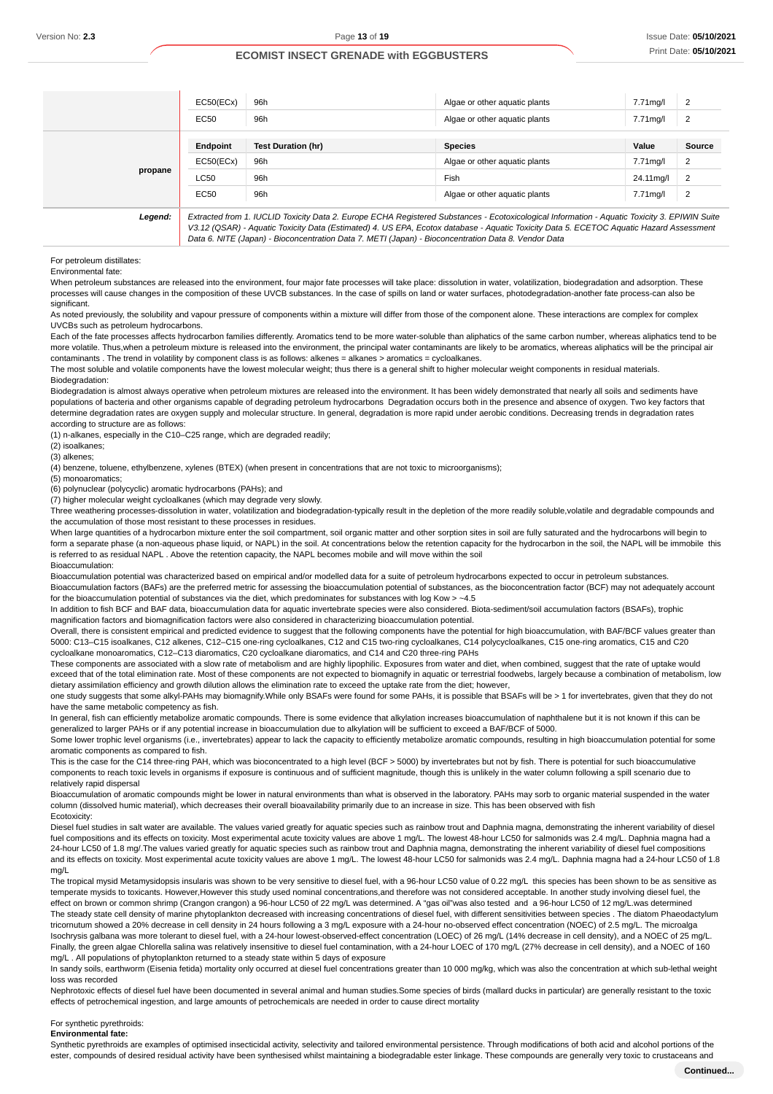|         | EC50(ECx)   | 96h                                                                                                                                                                                                                                                                                      | Algae or other aquatic plants | 7.71mg/l  | $\overline{2}$ |
|---------|-------------|------------------------------------------------------------------------------------------------------------------------------------------------------------------------------------------------------------------------------------------------------------------------------------------|-------------------------------|-----------|----------------|
|         | EC50        | 96h                                                                                                                                                                                                                                                                                      | Algae or other aguatic plants | 7.71mg/l  | $\overline{2}$ |
|         | Endpoint    | <b>Test Duration (hr)</b>                                                                                                                                                                                                                                                                | <b>Species</b>                | Value     | Source         |
|         | EC50(ECx)   | 96h                                                                                                                                                                                                                                                                                      | Algae or other aquatic plants | 7.71mg/l  | $\overline{2}$ |
| propane | LC50        | 96h                                                                                                                                                                                                                                                                                      | Fish                          | 24.11mg/l | $\overline{2}$ |
|         | <b>EC50</b> | 96h                                                                                                                                                                                                                                                                                      | Algae or other aquatic plants | 7.71mg/l  | $\overline{2}$ |
| Legend: |             | Extracted from 1. IUCLID Toxicity Data 2. Europe ECHA Registered Substances - Ecotoxicological Information - Aquatic Toxicity 3. EPIWIN Suite<br>V3.12 (QSAR) - Aquatic Toxicity Data (Estimated) 4. US EPA, Ecotox database - Aquatic Toxicity Data 5. ECETOC Aquatic Hazard Assessment |                               |           |                |

Data 6. NITE (Japan) - Bioconcentration Data 7. METI (Japan) - Bioconcentration Data 8. Vendor Data

### For petroleum distillates:

Environmental fate:

When petroleum substances are released into the environment, four major fate processes will take place: dissolution in water, volatilization, biodegradation and adsorption. These processes will cause changes in the composition of these UVCB substances. In the case of spills on land or water surfaces, photodegradation-another fate process-can also be significant.

As noted previously, the solubility and vapour pressure of components within a mixture will differ from those of the component alone. These interactions are complex for complex UVCBs such as petroleum hydrocarbons.

Each of the fate processes affects hydrocarbon families differently. Aromatics tend to be more water-soluble than aliphatics of the same carbon number, whereas aliphatics tend to be more volatile. Thus,when a petroleum mixture is released into the environment, the principal water contaminants are likely to be aromatics, whereas aliphatics will be the principal air contaminants . The trend in volatility by component class is as follows: alkenes = alkanes > aromatics = cycloalkanes.

The most soluble and volatile components have the lowest molecular weight; thus there is a general shift to higher molecular weight components in residual materials. Biodegradation:

Biodegradation is almost always operative when petroleum mixtures are released into the environment. It has been widely demonstrated that nearly all soils and sediments have populations of bacteria and other organisms capable of degrading petroleum hydrocarbons Degradation occurs both in the presence and absence of oxygen. Two key factors that determine degradation rates are oxygen supply and molecular structure. In general, degradation is more rapid under aerobic conditions. Decreasing trends in degradation rates according to structure are as follows:

(1) n-alkanes, especially in the C10–C25 range, which are degraded readily;

(2) isoalkanes;

(3) alkenes;

(4) benzene, toluene, ethylbenzene, xylenes (BTEX) (when present in concentrations that are not toxic to microorganisms);

(5) monoaromatics;

(6) polynuclear (polycyclic) aromatic hydrocarbons (PAHs); and

(7) higher molecular weight cycloalkanes (which may degrade very slowly.

Three weathering processes-dissolution in water, volatilization and biodegradation-typically result in the depletion of the more readily soluble,volatile and degradable compounds and the accumulation of those most resistant to these processes in residues.

When large quantities of a hydrocarbon mixture enter the soil compartment, soil organic matter and other sorption sites in soil are fully saturated and the hydrocarbons will begin to form a separate phase (a non-aqueous phase liquid, or NAPL) in the soil. At concentrations below the retention capacity for the hydrocarbon in the soil, the NAPL will be immobile this is referred to as residual NAPL . Above the retention capacity, the NAPL becomes mobile and will move within the soil

#### Bioaccumulation:

Bioaccumulation potential was characterized based on empirical and/or modelled data for a suite of petroleum hydrocarbons expected to occur in petroleum substances. Bioaccumulation factors (BAFs) are the preferred metric for assessing the bioaccumulation potential of substances, as the bioconcentration factor (BCF) may not adequately account

for the bioaccumulation potential of substances via the diet, which predominates for substances with log Kow > ~4.5 In addition to fish BCF and BAF data, bioaccumulation data for aquatic invertebrate species were also considered. Biota-sediment/soil accumulation factors (BSAFs), trophic magnification factors and biomagnification factors were also considered in characterizing bioaccumulation potential.

Overall, there is consistent empirical and predicted evidence to suggest that the following components have the potential for high bioaccumulation, with BAF/BCF values greater than 5000: C13–C15 isoalkanes, C12 alkenes, C12–C15 one-ring cycloalkanes, C12 and C15 two-ring cycloalkanes, C14 polycycloalkanes, C15 one-ring aromatics, C15 and C20 cycloalkane monoaromatics, C12–C13 diaromatics, C20 cycloalkane diaromatics, and C14 and C20 three-ring PAHs

These components are associated with a slow rate of metabolism and are highly lipophilic. Exposures from water and diet, when combined, suggest that the rate of uptake would exceed that of the total elimination rate. Most of these components are not expected to biomagnify in aquatic or terrestrial foodwebs, largely because a combination of metabolism, low dietary assimilation efficiency and growth dilution allows the elimination rate to exceed the uptake rate from the diet; however,

one study suggests that some alkyl-PAHs may biomagnify.While only BSAFs were found for some PAHs, it is possible that BSAFs will be > 1 for invertebrates, given that they do not have the same metabolic competency as fish.

In general, fish can efficiently metabolize aromatic compounds. There is some evidence that alkylation increases bioaccumulation of naphthalene but it is not known if this can be generalized to larger PAHs or if any potential increase in bioaccumulation due to alkylation will be sufficient to exceed a BAF/BCF of 5000.

Some lower trophic level organisms (i.e., invertebrates) appear to lack the capacity to efficiently metabolize aromatic compounds, resulting in high bioaccumulation potential for some aromatic components as compared to fish.

This is the case for the C14 three-ring PAH, which was bioconcentrated to a high level (BCF > 5000) by invertebrates but not by fish. There is potential for such bioaccumulative components to reach toxic levels in organisms if exposure is continuous and of sufficient magnitude, though this is unlikely in the water column following a spill scenario due to relatively rapid dispersal

Bioaccumulation of aromatic compounds might be lower in natural environments than what is observed in the laboratory. PAHs may sorb to organic material suspended in the water column (dissolved humic material), which decreases their overall bioavailability primarily due to an increase in size. This has been observed with fish Ecotoxicity:

Diesel fuel studies in salt water are available. The values varied greatly for aquatic species such as rainbow trout and Daphnia magna, demonstrating the inherent variability of diesel fuel compositions and its effects on toxicity. Most experimental acute toxicity values are above 1 mg/L. The lowest 48-hour LC50 for salmonids was 2.4 mg/L. Daphnia magna had a 24-hour LC50 of 1.8 mg/.The values varied greatly for aquatic species such as rainbow trout and Daphnia magna, demonstrating the inherent variability of diesel fuel compositions and its effects on toxicity. Most experimental acute toxicity values are above 1 mg/L. The lowest 48-hour LC50 for salmonids was 2.4 mg/L. Daphnia magna had a 24-hour LC50 of 1.8 mg/L

The tropical mysid Metamysidopsis insularis was shown to be very sensitive to diesel fuel, with a 96-hour LC50 value of 0.22 mg/L this species has been shown to be as sensitive as temperate mysids to toxicants. However,However this study used nominal concentrations,and therefore was not considered acceptable. In another study involving diesel fuel, the effect on brown or common shrimp (Crangon crangon) a 96-hour LC50 of 22 mg/L was determined. A "gas oil"was also tested and a 96-hour LC50 of 12 mg/L.was determined

The steady state cell density of marine phytoplankton decreased with increasing concentrations of diesel fuel, with different sensitivities between species . The diatom Phaeodactylum tricornutum showed a 20% decrease in cell density in 24 hours following a 3 mg/L exposure with a 24-hour no-observed effect concentration (NOEC) of 2.5 mg/L. The microalga Isochrysis galbana was more tolerant to diesel fuel, with a 24-hour lowest-observed-effect concentration (LOEC) of 26 mg/L (14% decrease in cell density), and a NOEC of 25 mg/L. Finally, the green algae Chlorella salina was relatively insensitive to diesel fuel contamination, with a 24-hour LOEC of 170 mg/L (27% decrease in cell density), and a NOEC of 160 mg/L . All populations of phytoplankton returned to a steady state within 5 days of exposure

In sandy soils, earthworm (Eisenia fetida) mortality only occurred at diesel fuel concentrations greater than 10 000 mg/kg, which was also the concentration at which sub-lethal weight loss was recorded

Nephrotoxic effects of diesel fuel have been documented in several animal and human studies.Some species of birds (mallard ducks in particular) are generally resistant to the toxic effects of petrochemical ingestion, and large amounts of petrochemicals are needed in order to cause direct mortality

#### For synthetic pyrethroids:

**Environmental fate:**

Synthetic pyrethroids are examples of optimised insecticidal activity, selectivity and tailored environmental persistence. Through modifications of both acid and alcohol portions of the ester, compounds of desired residual activity have been synthesised whilst maintaining a biodegradable ester linkage. These compounds are generally very toxic to crustaceans and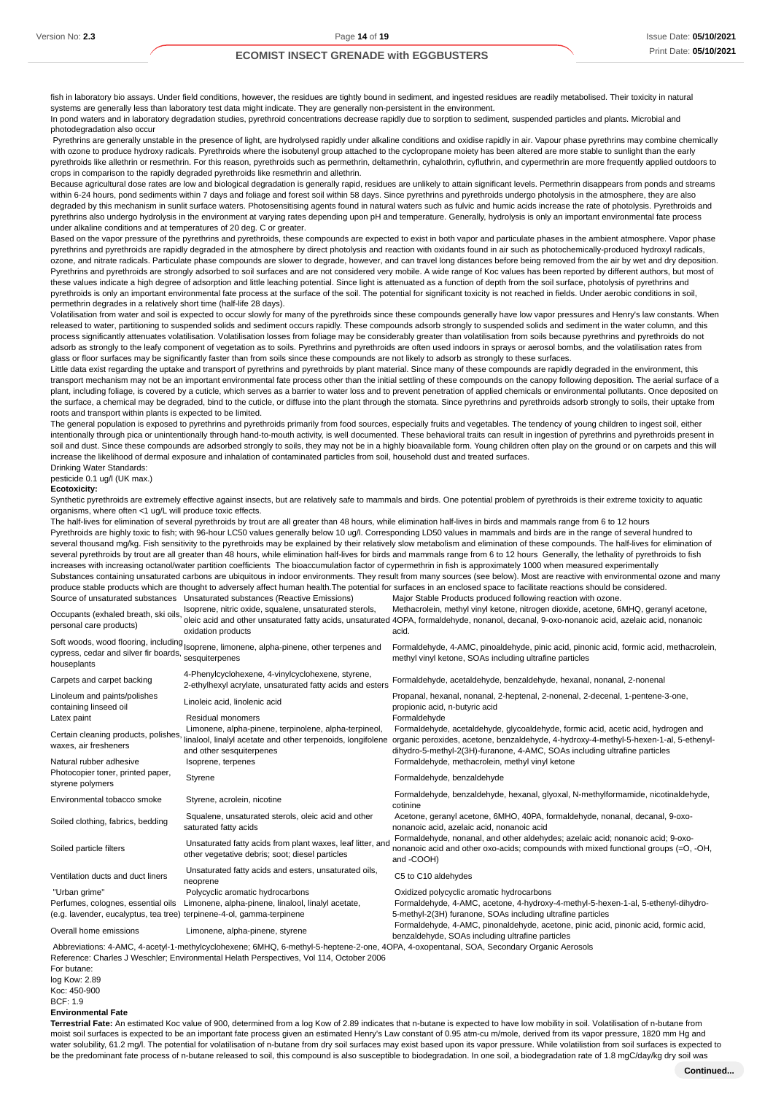fish in laboratory bio assays. Under field conditions, however, the residues are tightly bound in sediment, and ingested residues are readily metabolised. Their toxicity in natural systems are generally less than laboratory test data might indicate. They are generally non-persistent in the environment. In pond waters and in laboratory degradation studies, pyrethroid concentrations decrease rapidly due to sorption to sediment, suspended particles and plants. Microbial and photodegradation also occur

 Pyrethrins are generally unstable in the presence of light, are hydrolysed rapidly under alkaline conditions and oxidise rapidly in air. Vapour phase pyrethrins may combine chemically with ozone to produce hydroxy radicals. Pyrethroids where the isobutenyl group attached to the cyclopropane moiety has been altered are more stable to sunlight than the early pyrethroids like allethrin or resmethrin. For this reason, pyrethroids such as permethrin, deltamethrin, cyhalothrin, cyfluthrin, and cypermethrin are more frequently applied outdoors to crops in comparison to the rapidly degraded pyrethroids like resmethrin and allethrin.

Because agricultural dose rates are low and biological degradation is generally rapid, residues are unlikely to attain significant levels. Permethrin disappears from ponds and streams within 6-24 hours, pond sediments within 7 days and foliage and forest soil within 58 days. Since pyrethrins and pyrethroids undergo photolysis in the atmosphere, they are also degraded by this mechanism in sunlit surface waters. Photosensitising agents found in natural waters such as fulvic and humic acids increase the rate of photolysis. Pyrethroids and pyrethrins also undergo hydrolysis in the environment at varying rates depending upon pH and temperature. Generally, hydrolysis is only an important environmental fate process under alkaline conditions and at temperatures of 20 deg. C or greater.

Based on the vapor pressure of the pyrethrins and pyrethroids, these compounds are expected to exist in both vapor and particulate phases in the ambient atmosphere. Vapor phase pyrethrins and pyrethroids are rapidly degraded in the atmosphere by direct photolysis and reaction with oxidants found in air such as photochemically-produced hydroxyl radicals, ozone, and nitrate radicals. Particulate phase compounds are slower to degrade, however, and can travel long distances before being removed from the air by wet and dry deposition. Pyrethrins and pyrethroids are strongly adsorbed to soil surfaces and are not considered very mobile. A wide range of Koc values has been reported by different authors, but most of these values indicate a high degree of adsorption and little leaching potential. Since light is attenuated as a function of depth from the soil surface, photolysis of pyrethrins and pyrethroids is only an important environmental fate process at the surface of the soil. The potential for significant toxicity is not reached in fields. Under aerobic conditions in soil, permethrin degrades in a relatively short time (half-life 28 days).

Volatilisation from water and soil is expected to occur slowly for many of the pyrethroids since these compounds generally have low vapor pressures and Henry's law constants. When released to water, partitioning to suspended solids and sediment occurs rapidly. These compounds adsorb strongly to suspended solids and sediment in the water column, and this process significantly attenuates volatilisation. Volatilisation losses from foliage may be considerably greater than volatilisation from soils because pyrethrins and pyrethroids do not adsorb as strongly to the leafy component of vegetation as to soils. Pyrethrins and pyrethroids are often used indoors in sprays or aerosol bombs, and the volatilisation rates from glass or floor surfaces may be significantly faster than from soils since these compounds are not likely to adsorb as strongly to these surfaces.

Little data exist regarding the uptake and transport of pyrethrins and pyrethroids by plant material. Since many of these compounds are rapidly degraded in the environment, this transport mechanism may not be an important environmental fate process other than the initial settling of these compounds on the canopy following deposition. The aerial surface of a plant, including foliage, is covered by a cuticle, which serves as a barrier to water loss and to prevent penetration of applied chemicals or environmental pollutants. Once deposited on the surface, a chemical may be degraded, bind to the cuticle, or diffuse into the plant through the stomata. Since pyrethrins and pyrethroids adsorb strongly to soils, their uptake from roots and transport within plants is expected to be limited.

The general population is exposed to pyrethrins and pyrethroids primarily from food sources, especially fruits and vegetables. The tendency of young children to ingest soil, either intentionally through pica or unintentionally through hand-to-mouth activity, is well documented. These behavioral traits can result in ingestion of pyrethrins and pyrethroids present in soil and dust. Since these compounds are adsorbed strongly to soils, they may not be in a highly bioavailable form. Young children often play on the ground or on carpets and this will increase the likelihood of dermal exposure and inhalation of contaminated particles from soil, household dust and treated surfaces. Drinking Water Standards:

pesticide 0.1 ug/l (UK max.)

#### **Ecotoxicity:**

Synthetic pyrethroids are extremely effective against insects, but are relatively safe to mammals and birds. One potential problem of pyrethroids is their extreme toxicity to aquatic organisms, where often <1 ug/L will produce toxic effects.

The half-lives for elimination of several pyrethroids by trout are all greater than 48 hours, while elimination half-lives in birds and mammals range from 6 to 12 hours Pyrethroids are highly toxic to fish; with 96-hour LC50 values generally below 10 ug/l. Corresponding LD50 values in mammals and birds are in the range of several hundred to several thousand mg/kg. Fish sensitivity to the pyrethroids may be explained by their relatively slow metabolism and elimination of these compounds. The half-lives for elimination of several pyrethroids by trout are all greater than 48 hours, while elimination half-lives for birds and mammals range from 6 to 12 hours Generally, the lethality of pyrethroids to fish increases with increasing octanol/water partition coefficients The bioaccumulation factor of cypermethrin in fish is approximately 1000 when measured experimentally Substances containing unsaturated carbons are ubiquitous in indoor environments. They result from many sources (see below). Most are reactive with environmental ozone and many produce stable products which are thought to adversely affect human health.The potential for surfaces in an enclosed space to facilitate reactions should be considered. Source of unsaturated substances Unsaturated substances (Reactive Emissions) Major Stable Products produced following reaction with ozone. Occupants (exhaled breath, ski oils, personal care products) oleic acid and other unsaturated fatty acids, unsaturated 4OPA, formaldehyde, nonanol, decanal, 9-oxo-nonanoic acid, azelaic acid, nonanoic Isoprene, nitric oxide, squalene, unsaturated sterols, oxidation products Methacrolein, methyl vinyl ketone, nitrogen dioxide, acetone, 6MHQ, geranyl acetone, acid. Soft woods, wood flooring, including cypress, cedar and silver fir boards, Isoprene, limonene, alpha-pinene, other terpenes and houseplants sesquiterpenes Formaldehyde, 4-AMC, pinoaldehyde, pinic acid, pinonic acid, formic acid, methacrolein, methyl vinyl ketone, SOAs including ultrafine particles carpets and carpet backing 4-Phenylcyclohexene, 4-vinylcyclohexene, styrene,<br>2-ethylhexyl acrylate, unsaturated fatty acids and esters Formaldehyde, acetaldehyde, benzaldehyde, hexanal, nonanal, 2-nonenal Linoleum and paints/polishes Linoleum and paints/polishes Linoleic acid, linolenic acid Propanal, hexanal, nonanal, 2-heptenal, 2-nonenal, 2-decenal, 1-pentene-3-one,<br>
propionic acid, n-butyric acid<br>
propionic acid, n-butyric acid propionic acid, n-butyric acid Latex paint **Residual monomers Residual monomers Formaldehyde** Certain cleaning products, polishes, waxes, air fresheners linalool, linalyl acetate and other terpenoids, longifolene organic peroxides, acetone, benzaldehyde, 4-hydroxy-4-methyl-5-hexen-1-al, 5-ethenyl- Limonene, alpha-pinene, terpinolene, alpha-terpineol, and other sesquiterpenes Formaldehyde, acetaldehyde, glycoaldehyde, formic acid, acetic acid, hydrogen and dihydro-5-methyl-2(3H)-furanone, 4-AMC, SOAs including ultrafine particles Natural rubber adhesive Isoprene, terpenes Formaldehyde, methacrolein, methyl vinyl ketone Photocopier toner, printed paper, Priotocopier torier, printed paper, Styrene Communication Styrene Formaldehyde, benzaldehyde Formaldehyde Styrene Styrene Styrene Styrene Styrene Styrene Styrene Styrene Styrene Styrene Styrene Styrene Styrene Styrene Styr Environmental tobacco smoke Styrene, acrolein, nicotine Formaldehyde, benzaldehyde, hexanal, glyoxal, N-methylformamide, nicotinaldehyde, cotinine Soiled clothing, fabrics, bedding Squalene, unsaturated sterols, oleic acid and other saturated fatty acids Acetone, geranyl acetone, 6MHO, 40PA, formaldehyde, nonanal, decanal, 9-oxononanoic acid, azelaic acid, nonanoic acid Soiled particle filters Unsaturated fatty acids from plant waxes, leaf litter, and other vegetative debris; soot; diesel particles Formaldehyde, nonanal, and other aldehydes; azelaic acid; nonanoic acid; 9-oxononanoic acid and other oxo-acids; compounds with mixed functional groups (=O, -OH, and -COOH) Ventilation ducts and duct liners Unsaturated fatty acids and esters, unsaturated oils, neoprene<br>Polycyclic aromatic hydrocarbons C5 to C10 aldehydes "Urban grime" Polycyclic aromatic hydrocarbons Oxidized polycyclic aromatic hydrocarbons Perfumes, colognes, essential oils Limonene, alpha-pinene, linalool, linalyl acetate, (e.g. lavender, eucalyptus, tea tree) terpinene-4-ol, gamma-terpinene Formaldehyde, 4-AMC, acetone, 4-hydroxy-4-methyl-5-hexen-1-al, 5-ethenyl-dihydro-5-methyl-2(3H) furanone, SOAs including ultrafine particles Overall home emissions Limonene, alpha-pinene, styrene Formaldehyde, 4-AMC, pinonaldehyde, acetone, pinic acid, pinonic acid, formic acid, benzaldehyde, SOAs including ultrafine particles

 Abbreviations: 4-AMC, 4-acetyl-1-methylcyclohexene; 6MHQ, 6-methyl-5-heptene-2-one, 4OPA, 4-oxopentanal, SOA, Secondary Organic Aerosols Reference: Charles J Weschler; Environmental Helath Perspectives, Vol 114, October 2006

For butane: log Kow: 2.89 Koc: 450-900  $BCF: 1.9$ 

#### **Environmental Fate**

**Terrestrial Fate:** An estimated Koc value of 900, determined from a log Kow of 2.89 indicates that n-butane is expected to have low mobility in soil. Volatilisation of n-butane from moist soil surfaces is expected to be an important fate process given an estimated Henry's Law constant of 0.95 atm-cu m/mole, derived from its vapor pressure, 1820 mm Hg and water solubility, 61.2 mg/l. The potential for volatilisation of n-butane from dry soil surfaces may exist based upon its vapor pressure. While volatilistion from soil surfaces is expected to be the predominant fate process of n-butane released to soil, this compound is also susceptible to biodegradation. In one soil, a biodegradation rate of 1.8 mgC/day/kg dry soil was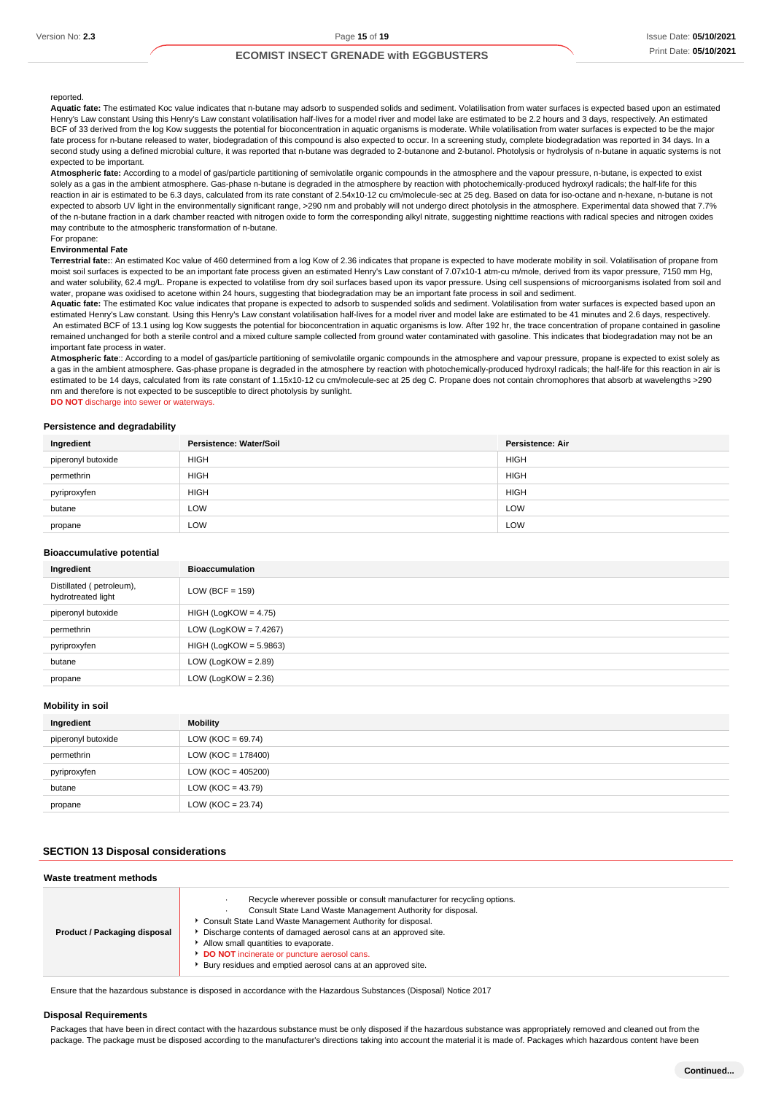### reported.

**Aquatic fate:** The estimated Koc value indicates that n-butane may adsorb to suspended solids and sediment. Volatilisation from water surfaces is expected based upon an estimated Henry's Law constant Using this Henry's Law constant volatilisation half-lives for a model river and model lake are estimated to be 2.2 hours and 3 days, respectively. An estimated BCF of 33 derived from the log Kow suggests the potential for bioconcentration in aquatic organisms is moderate. While volatilisation from water surfaces is expected to be the major fate process for n-butane released to water, biodegradation of this compound is also expected to occur. In a screening study, complete biodegradation was reported in 34 days. In a second study using a defined microbial culture, it was reported that n-butane was degraded to 2-butanone and 2-butanol. Photolysis or hydrolysis of n-butane in aquatic systems is not expected to be important.

**Atmospheric fate:** According to a model of gas/particle partitioning of semivolatile organic compounds in the atmosphere and the vapour pressure, n-butane, is expected to exist solely as a gas in the ambient atmosphere. Gas-phase n-butane is degraded in the atmosphere by reaction with photochemically-produced hydroxyl radicals; the half-life for this reaction in air is estimated to be 6.3 days, calculated from its rate constant of 2.54x10-12 cu cm/molecule-sec at 25 deg. Based on data for iso-octane and n-hexane, n-butane is not expected to absorb UV light in the environmentally significant range, >290 nm and probably will not undergo direct photolysis in the atmosphere. Experimental data showed that 7.7% of the n-butane fraction in a dark chamber reacted with nitrogen oxide to form the corresponding alkyl nitrate, suggesting nighttime reactions with radical species and nitrogen oxides may contribute to the atmospheric transformation of n-butane. For propane:

### **Environmental Fate**

**Terrestrial fate:**: An estimated Koc value of 460 determined from a log Kow of 2.36 indicates that propane is expected to have moderate mobility in soil. Volatilisation of propane from moist soil surfaces is expected to be an important fate process given an estimated Henry's Law constant of 7.07x10-1 atm-cu m/mole, derived from its vapor pressure, 7150 mm Hg, and water solubility, 62.4 mg/L. Propane is expected to volatilise from dry soil surfaces based upon its vapor pressure. Using cell suspensions of microorganisms isolated from soil and water, propane was oxidised to acetone within 24 hours, suggesting that biodegradation may be an important fate process in soil and sediment.

**Aquatic fate:** The estimated Koc value indicates that propane is expected to adsorb to suspended solids and sediment. Volatilisation from water surfaces is expected based upon an estimated Henry's Law constant. Using this Henry's Law constant volatilisation half-lives for a model river and model lake are estimated to be 41 minutes and 2.6 days, respectively. An estimated BCF of 13.1 using log Kow suggests the potential for bioconcentration in aquatic organisms is low. After 192 hr, the trace concentration of propane contained in gasoline remained unchanged for both a sterile control and a mixed culture sample collected from ground water contaminated with gasoline. This indicates that biodegradation may not be an important fate process in water.

Atmospheric fate:: According to a model of gas/particle partitioning of semivolatile organic compounds in the atmosphere and vapour pressure, propane is expected to exist solely as a gas in the ambient atmosphere. Gas-phase propane is degraded in the atmosphere by reaction with photochemically-produced hydroxyl radicals; the half-life for this reaction in air is estimated to be 14 days, calculated from its rate constant of 1.15x10-12 cu cm/molecule-sec at 25 deg C. Propane does not contain chromophores that absorb at wavelengths >290 nm and therefore is not expected to be susceptible to direct photolysis by sunlight.

**DO NOT** discharge into sewer or waterways.

#### **Persistence and degradability**

| Ingredient         | Persistence: Water/Soil | Persistence: Air |
|--------------------|-------------------------|------------------|
| piperonyl butoxide | <b>HIGH</b>             | <b>HIGH</b>      |
| permethrin         | <b>HIGH</b>             | <b>HIGH</b>      |
| pyriproxyfen       | <b>HIGH</b>             | <b>HIGH</b>      |
| butane             | LOW                     | LOW              |
| propane            | LOW                     | LOW              |

#### **Bioaccumulative potential**

| Ingredient                                     | <b>Bioaccumulation</b>   |
|------------------------------------------------|--------------------------|
| Distillated (petroleum),<br>hydrotreated light | LOW (BCF = $159$ )       |
| piperonyl butoxide                             | $HIGH (LogKOW = 4.75)$   |
| permethrin                                     | LOW (LogKOW = $7.4267$ ) |
| pyriproxyfen                                   | $HIGH (LogKOW = 5.9863)$ |
| butane                                         | LOW (LogKOW = $2.89$ )   |
| propane                                        | LOW (LogKOW = $2.36$ )   |

#### **Mobility in soil**

| Ingredient         | Mobility              |
|--------------------|-----------------------|
| piperonyl butoxide | LOW (KOC = $69.74$ )  |
| permethrin         | $LOW (KOC = 178400)$  |
| pyriproxyfen       | $LOW (KOC = 405200)$  |
| butane             | LOW ( $KOC = 43.79$ ) |
| propane            | LOW ( $KOC = 23.74$ ) |

### **SECTION 13 Disposal considerations**

| Waste treatment methods      |                                                                                                                                                                                                                                                                                                                                                                                                                                   |
|------------------------------|-----------------------------------------------------------------------------------------------------------------------------------------------------------------------------------------------------------------------------------------------------------------------------------------------------------------------------------------------------------------------------------------------------------------------------------|
| Product / Packaging disposal | Recycle wherever possible or consult manufacturer for recycling options.<br>Consult State Land Waste Management Authority for disposal.<br>Consult State Land Waste Management Authority for disposal.<br>Discharge contents of damaged aerosol cans at an approved site.<br>Allow small quantities to evaporate.<br>DO NOT incinerate or puncture aerosol cans.<br>▶ Bury residues and emptied aerosol cans at an approved site. |

Ensure that the hazardous substance is disposed in accordance with the Hazardous Substances (Disposal) Notice 2017

#### **Disposal Requirements**

Packages that have been in direct contact with the hazardous substance must be only disposed if the hazardous substance was appropriately removed and cleaned out from the package. The package must be disposed according to the manufacturer's directions taking into account the material it is made of. Packages which hazardous content have been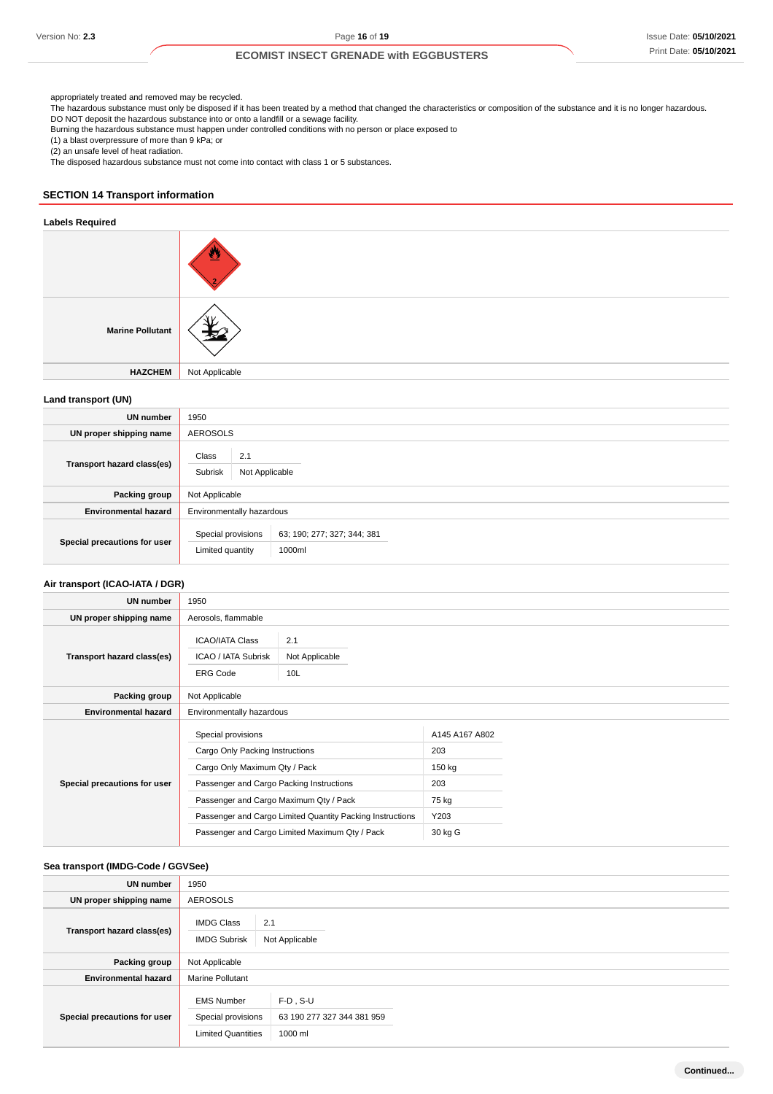appropriately treated and removed may be recycled.

The hazardous substance must only be disposed if it has been treated by a method that changed the characteristics or composition of the substance and it is no longer hazardous.

DO NOT deposit the hazardous substance into or onto a landfill or a sewage facility. Burning the hazardous substance must happen under controlled conditions with no person or place exposed to

(1) a blast overpressure of more than 9 kPa; or

(2) an unsafe level of heat radiation.

The disposed hazardous substance must not come into contact with class 1 or 5 substances.

## **SECTION 14 Transport information**

## **Labels Required**

| <b>Marine Pollutant</b> |                |
|-------------------------|----------------|
| <b>HAZCHEM</b>          | Not Applicable |
|                         |                |

### **Land transport (UN)**

| <b>UN</b> number             | 1950                                                                            |  |
|------------------------------|---------------------------------------------------------------------------------|--|
| UN proper shipping name      | <b>AEROSOLS</b>                                                                 |  |
| Transport hazard class(es)   | Class<br>2.1<br>Subrisk<br>Not Applicable                                       |  |
| Packing group                | Not Applicable                                                                  |  |
| <b>Environmental hazard</b>  | Environmentally hazardous                                                       |  |
| Special precautions for user | 63; 190; 277; 327; 344; 381<br>Special provisions<br>1000ml<br>Limited quantity |  |

## **Air transport (ICAO-IATA / DGR)**

| UN number                    | 1950                                                                                                                                                                         |                                                                                                             |                                                                    |  |
|------------------------------|------------------------------------------------------------------------------------------------------------------------------------------------------------------------------|-------------------------------------------------------------------------------------------------------------|--------------------------------------------------------------------|--|
| UN proper shipping name      | Aerosols, flammable                                                                                                                                                          |                                                                                                             |                                                                    |  |
| Transport hazard class(es)   | <b>ICAO/IATA Class</b><br>2.1<br>ICAO / IATA Subrisk<br>Not Applicable<br><b>ERG Code</b><br>10 <sub>L</sub>                                                                 |                                                                                                             |                                                                    |  |
| Packing group                | Not Applicable                                                                                                                                                               |                                                                                                             |                                                                    |  |
| <b>Environmental hazard</b>  | Environmentally hazardous                                                                                                                                                    |                                                                                                             |                                                                    |  |
| Special precautions for user | Special provisions<br>Cargo Only Packing Instructions<br>Cargo Only Maximum Qty / Pack<br>Passenger and Cargo Packing Instructions<br>Passenger and Cargo Maximum Qty / Pack | Passenger and Cargo Limited Quantity Packing Instructions<br>Passenger and Cargo Limited Maximum Qty / Pack | A145 A167 A802<br>203<br>150 kg<br>203<br>75 kg<br>Y203<br>30 kg G |  |

### **Sea transport (IMDG-Code / GGVSee)**

| UN number                    | 1950                                                                 |                                                        |
|------------------------------|----------------------------------------------------------------------|--------------------------------------------------------|
| UN proper shipping name      | <b>AEROSOLS</b>                                                      |                                                        |
| Transport hazard class(es)   | <b>IMDG Class</b><br><b>IMDG Subrisk</b>                             | 2.1<br>Not Applicable                                  |
| Packing group                | Not Applicable                                                       |                                                        |
| <b>Environmental hazard</b>  | <b>Marine Pollutant</b>                                              |                                                        |
| Special precautions for user | <b>EMS Number</b><br>Special provisions<br><b>Limited Quantities</b> | $F-D$ , $S-U$<br>63 190 277 327 344 381 959<br>1000 ml |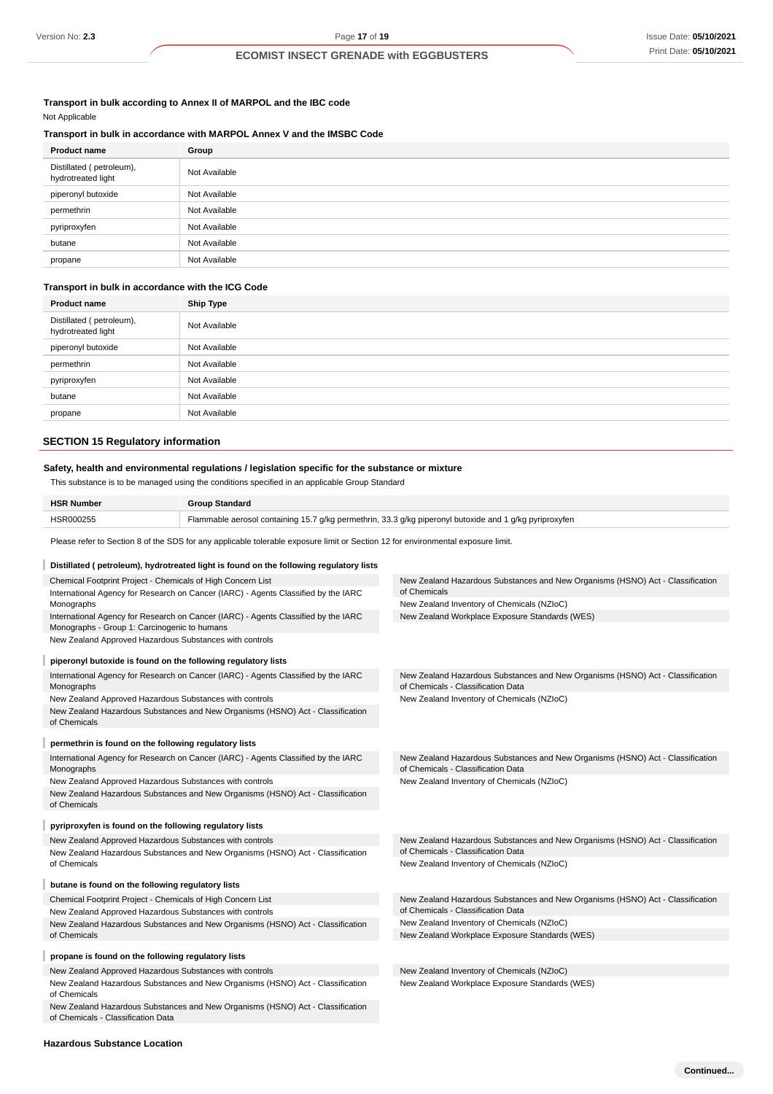# **Transport in bulk according to Annex II of MARPOL and the IBC code**

Not Applicable

## **Transport in bulk in accordance with MARPOL Annex V and the IMSBC Code**

| <b>Product name</b>                            | Group         |
|------------------------------------------------|---------------|
| Distillated (petroleum),<br>hydrotreated light | Not Available |
| piperonyl butoxide                             | Not Available |
| permethrin                                     | Not Available |
| pyriproxyfen                                   | Not Available |
| butane                                         | Not Available |
| propane                                        | Not Available |

### **Transport in bulk in accordance with the ICG Code**

| <b>Product name</b>                            | <b>Ship Type</b> |
|------------------------------------------------|------------------|
| Distillated (petroleum),<br>hydrotreated light | Not Available    |
| piperonyl butoxide                             | Not Available    |
| permethrin                                     | Not Available    |
| pyriproxyfen                                   | Not Available    |
| butane                                         | Not Available    |
| propane                                        | Not Available    |

## **SECTION 15 Regulatory information**

## **Safety, health and environmental regulations / legislation specific for the substance or mixture**

This substance is to be managed using the conditions specified in an applicable Group Standard

| <b>HSR Number</b> | <b>Group Standard</b>                                                                                   |
|-------------------|---------------------------------------------------------------------------------------------------------|
| HSR000255         | Flammable aerosol containing 15.7 g/kg permethrin, 33.3 g/kg piperonyl butoxide and 1 g/kg pyriproxyfen |

Please refer to Section 8 of the SDS for any applicable tolerable exposure limit or Section 12 for environmental exposure limit.

| Distillated (petroleum), hydrotreated light is found on the following regulatory lists                                             |                                                                                                                      |
|------------------------------------------------------------------------------------------------------------------------------------|----------------------------------------------------------------------------------------------------------------------|
| Chemical Footprint Project - Chemicals of High Concern List                                                                        | New Zealand Hazardous Substances and New Organisms (HSNO) Act - Classification                                       |
| International Agency for Research on Cancer (IARC) - Agents Classified by the IARC                                                 | of Chemicals                                                                                                         |
| Monographs                                                                                                                         | New Zealand Inventory of Chemicals (NZIoC)                                                                           |
| International Agency for Research on Cancer (IARC) - Agents Classified by the IARC<br>Monographs - Group 1: Carcinogenic to humans | New Zealand Workplace Exposure Standards (WES)                                                                       |
| New Zealand Approved Hazardous Substances with controls                                                                            |                                                                                                                      |
| piperonyl butoxide is found on the following regulatory lists                                                                      |                                                                                                                      |
| International Agency for Research on Cancer (IARC) - Agents Classified by the IARC<br>Monographs                                   | New Zealand Hazardous Substances and New Organisms (HSNO) Act - Classification<br>of Chemicals - Classification Data |
| New Zealand Approved Hazardous Substances with controls                                                                            | New Zealand Inventory of Chemicals (NZIoC)                                                                           |
| New Zealand Hazardous Substances and New Organisms (HSNO) Act - Classification<br>of Chemicals                                     |                                                                                                                      |
| permethrin is found on the following regulatory lists                                                                              |                                                                                                                      |
| International Agency for Research on Cancer (IARC) - Agents Classified by the IARC<br>Monographs                                   | New Zealand Hazardous Substances and New Organisms (HSNO) Act - Classification<br>of Chemicals - Classification Data |
| New Zealand Approved Hazardous Substances with controls                                                                            | New Zealand Inventory of Chemicals (NZIoC)                                                                           |
| New Zealand Hazardous Substances and New Organisms (HSNO) Act - Classification<br>of Chemicals                                     |                                                                                                                      |
| pyriproxyfen is found on the following regulatory lists                                                                            |                                                                                                                      |
| New Zealand Approved Hazardous Substances with controls                                                                            | New Zealand Hazardous Substances and New Organisms (HSNO) Act - Classification                                       |
| New Zealand Hazardous Substances and New Organisms (HSNO) Act - Classification                                                     | of Chemicals - Classification Data                                                                                   |
| of Chemicals                                                                                                                       | New Zealand Inventory of Chemicals (NZIoC)                                                                           |
| butane is found on the following regulatory lists                                                                                  |                                                                                                                      |
| Chemical Footprint Project - Chemicals of High Concern List                                                                        | New Zealand Hazardous Substances and New Organisms (HSNO) Act - Classification                                       |
| New Zealand Approved Hazardous Substances with controls                                                                            | of Chemicals - Classification Data                                                                                   |
| New Zealand Hazardous Substances and New Organisms (HSNO) Act - Classification                                                     | New Zealand Inventory of Chemicals (NZIoC)                                                                           |
| of Chemicals                                                                                                                       | New Zealand Workplace Exposure Standards (WES)                                                                       |
| propane is found on the following regulatory lists                                                                                 |                                                                                                                      |
| New Zealand Approved Hazardous Substances with controls                                                                            | New Zealand Inventory of Chemicals (NZIoC)                                                                           |
| New Zealand Hazardous Substances and New Organisms (HSNO) Act - Classification<br>of Chemicals                                     | New Zealand Workplace Exposure Standards (WES)                                                                       |
| New Zealand Hazardous Substances and New Organisms (HSNO) Act - Classification<br>of Chemicals - Classification Data               |                                                                                                                      |

### **Hazardous Substance Location**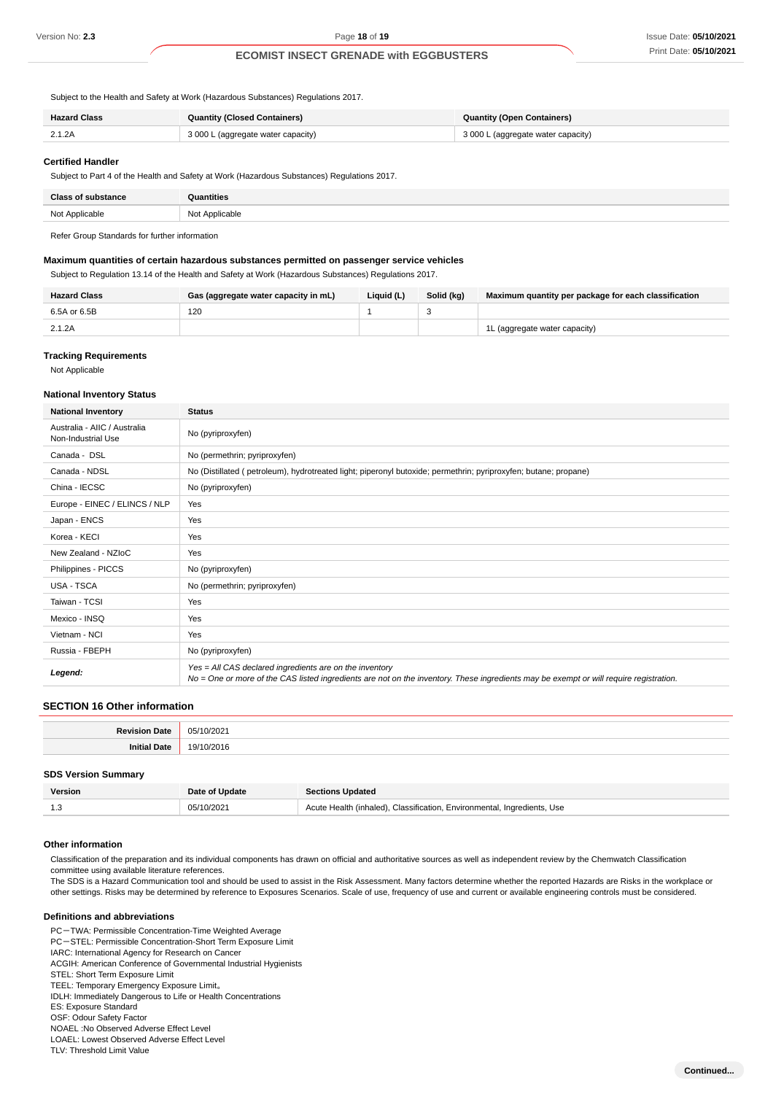Subject to the Health and Safety at Work (Hazardous Substances) Regulations 2017.

| <b>Hazard Class</b> | <b>Quantity (Closed Containers)</b> | <b>Quantity (Open Containers)</b>  |
|---------------------|-------------------------------------|------------------------------------|
| 2.1.2A              | 3 000 L (aggregate water capacity)  | 3 000 L (aggregate water capacity) |

#### **Certified Handler**

Subject to Part 4 of the Health and Safety at Work (Hazardous Substances) Regulations 2017.

| Close of<br>. | ıntities   |
|---------------|------------|
| NM+           | <b>MA+</b> |
| alicable      | Applicable |

Refer Group Standards for further information

### **Maximum quantities of certain hazardous substances permitted on passenger service vehicles**

Subject to Regulation 13.14 of the Health and Safety at Work (Hazardous Substances) Regulations 2017.

| <b>Hazard Class</b> | Gas (aggregate water capacity in mL) | Liquid (L) | Solid (ka) | Maximum quantity per package for each classification |
|---------------------|--------------------------------------|------------|------------|------------------------------------------------------|
| 6.5A or 6.5B        | 120                                  |            |            |                                                      |
| 2.1.2A              |                                      |            |            | 1L (aggregate water capacity)                        |

#### **Tracking Requirements**

Not Applicable

#### **National Inventory Status**

| <b>National Inventory</b>                          | <b>Status</b>                                                                                                                                                                                     |  |  |
|----------------------------------------------------|---------------------------------------------------------------------------------------------------------------------------------------------------------------------------------------------------|--|--|
| Australia - AIIC / Australia<br>Non-Industrial Use | No (pyriproxyfen)                                                                                                                                                                                 |  |  |
| Canada - DSL                                       | No (permethrin; pyriproxyfen)                                                                                                                                                                     |  |  |
| Canada - NDSL                                      | No (Distillated (petroleum), hydrotreated light; piperonyl butoxide; permethrin; pyriproxyfen; butane; propane)                                                                                   |  |  |
| China - IECSC                                      | No (pyriproxyfen)                                                                                                                                                                                 |  |  |
| Europe - EINEC / ELINCS / NLP                      | Yes                                                                                                                                                                                               |  |  |
| Japan - ENCS                                       | Yes                                                                                                                                                                                               |  |  |
| Korea - KECI                                       | Yes                                                                                                                                                                                               |  |  |
| New Zealand - NZIoC                                | Yes                                                                                                                                                                                               |  |  |
| Philippines - PICCS                                | No (pyriproxyfen)                                                                                                                                                                                 |  |  |
| <b>USA - TSCA</b>                                  | No (permethrin; pyriproxyfen)                                                                                                                                                                     |  |  |
| Taiwan - TCSI                                      | Yes                                                                                                                                                                                               |  |  |
| Mexico - INSQ                                      | Yes                                                                                                                                                                                               |  |  |
| Vietnam - NCI                                      | Yes                                                                                                                                                                                               |  |  |
| Russia - FBEPH                                     | No (pyriproxyfen)                                                                                                                                                                                 |  |  |
| Legend:                                            | Yes = All CAS declared ingredients are on the inventory<br>No = One or more of the CAS listed ingredients are not on the inventory. These ingredients may be exempt or will require registration. |  |  |

## **SECTION 16 Other information**

### **SDS Version Summary**

| Version | Date of Update | <b>Sections Updated</b>                                                 |
|---------|----------------|-------------------------------------------------------------------------|
|         | 05/10/2021     | Acute Health (inhaled), Classification, Environmental, Ingredients, Use |

#### **Other information**

Classification of the preparation and its individual components has drawn on official and authoritative sources as well as independent review by the Chemwatch Classification committee using available literature references.

The SDS is a Hazard Communication tool and should be used to assist in the Risk Assessment. Many factors determine whether the reported Hazards are Risks in the workplace or other settings. Risks may be determined by reference to Exposures Scenarios. Scale of use, frequency of use and current or available engineering controls must be considered.

## **Definitions and abbreviations**

PC-TWA: Permissible Concentration-Time Weighted Average

PC-STEL: Permissible Concentration-Short Term Exposure Limit

IARC: International Agency for Research on Cancer

ACGIH: American Conference of Governmental Industrial Hygienists

STEL: Short Term Exposure Limit

TEEL: Temporary Emergency Exposure Limit。

IDLH: Immediately Dangerous to Life or Health Concentrations

ES: Exposure Standard

OSF: Odour Safety Factor

NOAEL :No Observed Adverse Effect Level LOAEL: Lowest Observed Adverse Effect Level

TLV: Threshold Limit Value